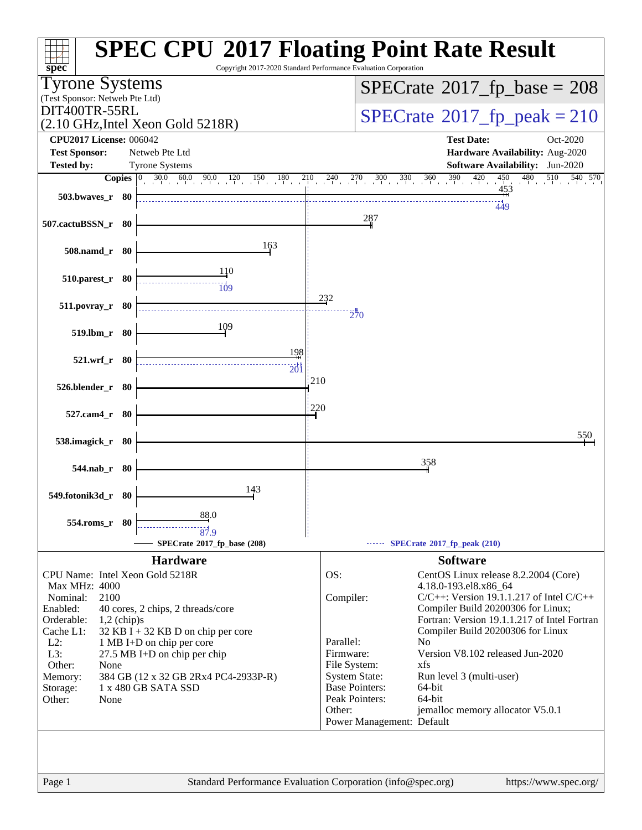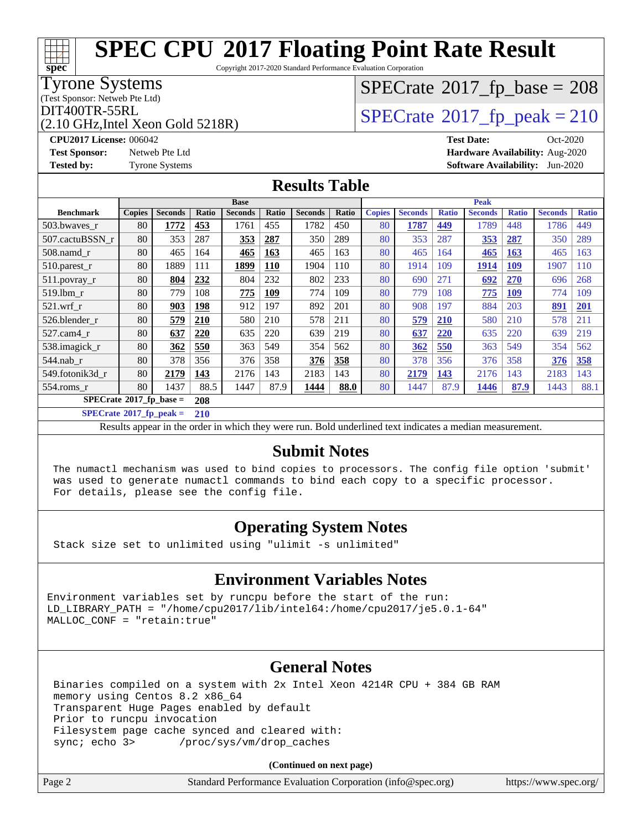Copyright 2017-2020 Standard Performance Evaluation Corporation

### Tyrone Systems

(Test Sponsor: Netweb Pte Ltd)

(2.10 GHz,Intel Xeon Gold 5218R)

# $SPECTate$ <sup>®</sup>[2017\\_fp\\_base =](http://www.spec.org/auto/cpu2017/Docs/result-fields.html#SPECrate2017fpbase) 208

## $\text{DIT400TR-55RL}$ <br>(2.10 GHz Intel Xeon Gold 5218R)  $\text{SPECrate}$  $\text{SPECrate}$  $\text{SPECrate}$ <sup>®</sup>[2017\\_fp\\_peak = 2](http://www.spec.org/auto/cpu2017/Docs/result-fields.html#SPECrate2017fppeak)10

**[CPU2017 License:](http://www.spec.org/auto/cpu2017/Docs/result-fields.html#CPU2017License)** 006042 **[Test Date:](http://www.spec.org/auto/cpu2017/Docs/result-fields.html#TestDate)** Oct-2020 **[Test Sponsor:](http://www.spec.org/auto/cpu2017/Docs/result-fields.html#TestSponsor)** Netweb Pte Ltd **[Hardware Availability:](http://www.spec.org/auto/cpu2017/Docs/result-fields.html#HardwareAvailability)** Aug-2020 **[Tested by:](http://www.spec.org/auto/cpu2017/Docs/result-fields.html#Testedby)** Tyrone Systems **[Software Availability:](http://www.spec.org/auto/cpu2017/Docs/result-fields.html#SoftwareAvailability)** Jun-2020

### **[Results Table](http://www.spec.org/auto/cpu2017/Docs/result-fields.html#ResultsTable)**

|                                        | <b>Base</b>   |                |       |                |            | <b>Peak</b>    |       |               |                |              |                |              |                |              |
|----------------------------------------|---------------|----------------|-------|----------------|------------|----------------|-------|---------------|----------------|--------------|----------------|--------------|----------------|--------------|
| <b>Benchmark</b>                       | <b>Copies</b> | <b>Seconds</b> | Ratio | <b>Seconds</b> | Ratio      | <b>Seconds</b> | Ratio | <b>Copies</b> | <b>Seconds</b> | <b>Ratio</b> | <b>Seconds</b> | <b>Ratio</b> | <b>Seconds</b> | <b>Ratio</b> |
| 503.bwayes_r                           | 80            | 1772           | 453   | 1761           | 455        | 1782           | 450   | 80            | 1787           | 449          | 1789           | 448          | 1786           | 449          |
| 507.cactuBSSN r                        | 80            | 353            | 287   | 353            | 287        | 350            | 289   | 80            | 353            | 287          | 353            | 287          | 350            | 289          |
| $508$ .namd_r                          | 80            | 465            | 164   | 465            | 163        | 465            | 163   | 80            | 465            | 164          | 465            | 163          | 465            | 163          |
| $510.parest_r$                         | 80            | 1889           | 111   | 1899           | <b>110</b> | 1904           | 110   | 80            | 1914           | 109          | <u> 1914</u>   | 109          | 1907           | 110          |
| 511.povray_r                           | 80            | 804            | 232   | 804            | 232        | 802            | 233   | 80            | 690            | 271          | 692            | <b>270</b>   | 696            | 268          |
| 519.1bm r                              | 80            | 779            | 108   | 775            | 109        | 774            | 109   | 80            | 779            | 108          | 775            | 109          | 774            | 109          |
| $521$ .wrf r                           | 80            | 903            | 198   | 912            | 197        | 892            | 201   | 80            | 908            | 197          | 884            | 203          | 891            | <b>201</b>   |
| 526.blender r                          | 80            | 579            | 210   | 580            | 210        | 578            | 211   | 80            | 579            | 210          | 580            | 210          | 578            | 211          |
| 527.cam4 r                             | 80            | 637            | 220   | 635            | 220        | 639            | 219   | 80            | 637            | 220          | 635            | 220          | 639            | 219          |
| 538.imagick_r                          | 80            | 362            | 550   | 363            | 549        | 354            | 562   | 80            | 362            | 550          | 363            | 549          | 354            | 562          |
| 544.nab r                              | 80            | 378            | 356   | 376            | 358        | 376            | 358   | 80            | 378            | 356          | 376            | 358          | 376            | 358          |
| 549.fotonik3d_r                        | 80            | 2179           | 143   | 2176           | 143        | 2183           | 143   | 80            | 2179           | <u>143</u>   | 2176           | 143          | 2183           | 143          |
| 554.roms r                             | 80            | 1437           | 88.5  | 1447           | 87.9       | 1444           | 88.0  | 80            | 1447           | 87.9         | 1446           | 87.9         | 1443           | 88.1         |
| $SPECrate$ <sup>®</sup> 2017_fp_base = |               | 208            |       |                |            |                |       |               |                |              |                |              |                |              |

**[SPECrate](http://www.spec.org/auto/cpu2017/Docs/result-fields.html#SPECrate2017fppeak)[2017\\_fp\\_peak =](http://www.spec.org/auto/cpu2017/Docs/result-fields.html#SPECrate2017fppeak) 210**

Results appear in the [order in which they were run.](http://www.spec.org/auto/cpu2017/Docs/result-fields.html#RunOrder) Bold underlined text [indicates a median measurement.](http://www.spec.org/auto/cpu2017/Docs/result-fields.html#Median)

### **[Submit Notes](http://www.spec.org/auto/cpu2017/Docs/result-fields.html#SubmitNotes)**

 The numactl mechanism was used to bind copies to processors. The config file option 'submit' was used to generate numactl commands to bind each copy to a specific processor. For details, please see the config file.

### **[Operating System Notes](http://www.spec.org/auto/cpu2017/Docs/result-fields.html#OperatingSystemNotes)**

Stack size set to unlimited using "ulimit -s unlimited"

### **[Environment Variables Notes](http://www.spec.org/auto/cpu2017/Docs/result-fields.html#EnvironmentVariablesNotes)**

Environment variables set by runcpu before the start of the run: LD\_LIBRARY\_PATH = "/home/cpu2017/lib/intel64:/home/cpu2017/je5.0.1-64" MALLOC\_CONF = "retain:true"

### **[General Notes](http://www.spec.org/auto/cpu2017/Docs/result-fields.html#GeneralNotes)**

 Binaries compiled on a system with 2x Intel Xeon 4214R CPU + 384 GB RAM memory using Centos 8.2 x86\_64 Transparent Huge Pages enabled by default Prior to runcpu invocation Filesystem page cache synced and cleared with: sync; echo 3> /proc/sys/vm/drop\_caches

**(Continued on next page)**

| Page 2<br>Standard Performance Evaluation Corporation (info@spec.org)<br>https://www.spec.org/ |
|------------------------------------------------------------------------------------------------|
|------------------------------------------------------------------------------------------------|

**[spec](http://www.spec.org/)**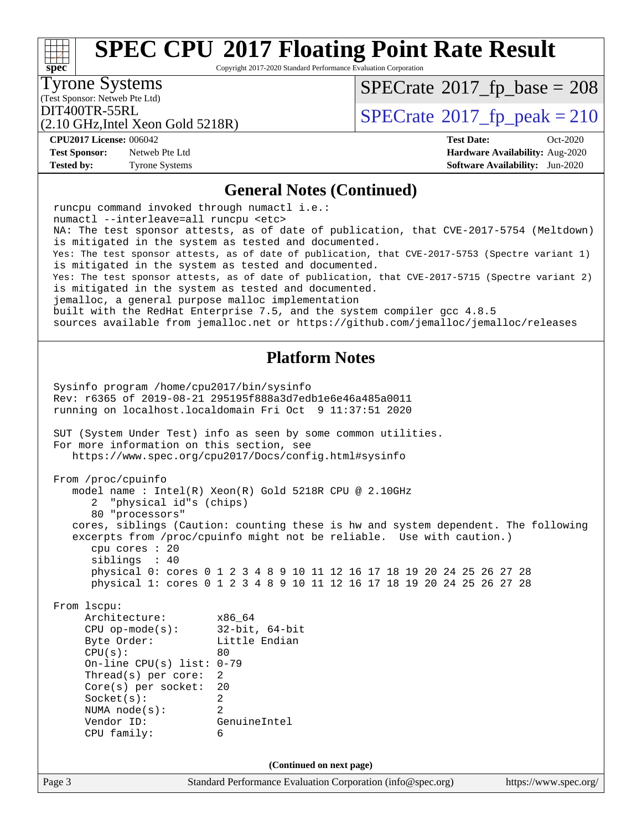Copyright 2017-2020 Standard Performance Evaluation Corporation

(Test Sponsor: Netweb Pte Ltd) Tyrone Systems

**[spec](http://www.spec.org/)**

 $\pm\pm\prime$ 

 $SPECrate$ <sup>®</sup>[2017\\_fp\\_base =](http://www.spec.org/auto/cpu2017/Docs/result-fields.html#SPECrate2017fpbase) 208

(2.10 GHz,Intel Xeon Gold 5218R)

DIT400TR-55RL<br>(2.10 GHz Intel Xeon Gold 5218R) [SPECrate](http://www.spec.org/auto/cpu2017/Docs/result-fields.html#SPECrate2017fppeak)®[2017\\_fp\\_peak = 2](http://www.spec.org/auto/cpu2017/Docs/result-fields.html#SPECrate2017fppeak)10

**[CPU2017 License:](http://www.spec.org/auto/cpu2017/Docs/result-fields.html#CPU2017License)** 006042 **[Test Date:](http://www.spec.org/auto/cpu2017/Docs/result-fields.html#TestDate)** Oct-2020

#### **[Test Sponsor:](http://www.spec.org/auto/cpu2017/Docs/result-fields.html#TestSponsor)** Netweb Pte Ltd **[Hardware Availability:](http://www.spec.org/auto/cpu2017/Docs/result-fields.html#HardwareAvailability)** Aug-2020 **[Tested by:](http://www.spec.org/auto/cpu2017/Docs/result-fields.html#Testedby)** Tyrone Systems **[Software Availability:](http://www.spec.org/auto/cpu2017/Docs/result-fields.html#SoftwareAvailability)** Jun-2020

### **[General Notes \(Continued\)](http://www.spec.org/auto/cpu2017/Docs/result-fields.html#GeneralNotes)**

| runcpu command invoked through numactl i.e.:      |                                                                                                  |
|---------------------------------------------------|--------------------------------------------------------------------------------------------------|
| numactl --interleave=all runcpu <etc></etc>       | NA: The test sponsor attests, as of date of publication, that CVE-2017-5754 (Meltdown)           |
|                                                   | is mitigated in the system as tested and documented.                                             |
|                                                   | Yes: The test sponsor attests, as of date of publication, that CVE-2017-5753 (Spectre variant 1) |
|                                                   | is mitigated in the system as tested and documented.                                             |
|                                                   | Yes: The test sponsor attests, as of date of publication, that CVE-2017-5715 (Spectre variant 2) |
| jemalloc, a general purpose malloc implementation | is mitigated in the system as tested and documented.                                             |
|                                                   | built with the RedHat Enterprise 7.5, and the system compiler gcc 4.8.5                          |
|                                                   | sources available from jemalloc.net or https://github.com/jemalloc/jemalloc/releases             |
|                                                   |                                                                                                  |
|                                                   | <b>Platform Notes</b>                                                                            |
|                                                   |                                                                                                  |
| Sysinfo program /home/cpu2017/bin/sysinfo         | Rev: r6365 of 2019-08-21 295195f888a3d7edble6e46a485a0011                                        |
|                                                   | running on localhost.localdomain Fri Oct 9 11:37:51 2020                                         |
|                                                   |                                                                                                  |
|                                                   | SUT (System Under Test) info as seen by some common utilities.                                   |
| For more information on this section, see         |                                                                                                  |
|                                                   | https://www.spec.org/cpu2017/Docs/config.html#sysinfo                                            |
| From /proc/cpuinfo                                |                                                                                                  |
|                                                   | model name: $Intel(R)$ Xeon $(R)$ Gold 5218R CPU @ 2.10GHz                                       |
| 2 "physical id"s (chips)                          |                                                                                                  |
| 80 "processors"                                   |                                                                                                  |
|                                                   | cores, siblings (Caution: counting these is hw and system dependent. The following               |
| cpu cores : 20                                    | excerpts from /proc/cpuinfo might not be reliable. Use with caution.)                            |
| siblings : 40                                     |                                                                                                  |
|                                                   | physical 0: cores 0 1 2 3 4 8 9 10 11 12 16 17 18 19 20 24 25 26 27 28                           |
|                                                   | physical 1: cores 0 1 2 3 4 8 9 10 11 12 16 17 18 19 20 24 25 26 27 28                           |
|                                                   |                                                                                                  |
| From 1scpu:<br>Architecture:                      | $x86\_64$                                                                                        |
| CPU op-mode(s): $32-bit, 64-bit$                  |                                                                                                  |
| Byte Order:                                       | Little Endian                                                                                    |
| CPU(s):                                           | 80                                                                                               |
| On-line CPU(s) list: $0-79$                       |                                                                                                  |
| Thread(s) per core:                               | 2                                                                                                |
| $Core(s)$ per socket:<br>Socket(s):               | 20<br>2                                                                                          |
| NUMA node(s):                                     | 2                                                                                                |
| Vendor ID:                                        | GenuineIntel                                                                                     |
| CPU family:                                       | 6                                                                                                |
|                                                   |                                                                                                  |
|                                                   | (Continued on next page)                                                                         |
| Page 3                                            | Standard Performance Evaluation Corporation (info@spec.org)<br>https://www.spec.org/             |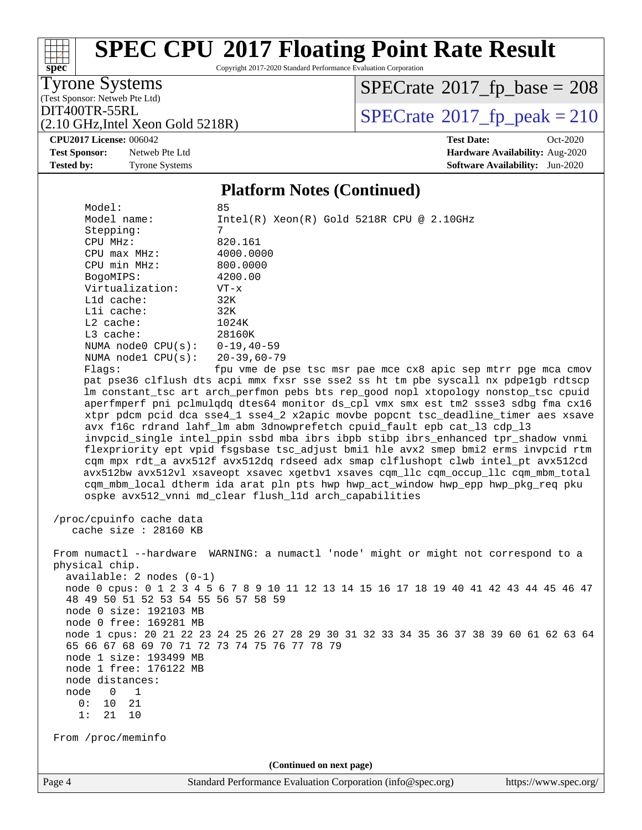Copyright 2017-2020 Standard Performance Evaluation Corporation

Tyrone Systems

**[spec](http://www.spec.org/)**

(Test Sponsor: Netweb Pte Ltd)

 $SPECrate$ <sup>®</sup>[2017\\_fp\\_base =](http://www.spec.org/auto/cpu2017/Docs/result-fields.html#SPECrate2017fpbase) 208

(2.10 GHz,Intel Xeon Gold 5218R)

DIT400TR-55RL<br> $(2.10 \text{ GHz Intel Xeon Gold 5218R})$  [SPECrate](http://www.spec.org/auto/cpu2017/Docs/result-fields.html#SPECrate2017fppeak)®[2017\\_fp\\_peak = 2](http://www.spec.org/auto/cpu2017/Docs/result-fields.html#SPECrate2017fppeak)10

**[CPU2017 License:](http://www.spec.org/auto/cpu2017/Docs/result-fields.html#CPU2017License)** 006042 **[Test Date:](http://www.spec.org/auto/cpu2017/Docs/result-fields.html#TestDate)** Oct-2020 **[Test Sponsor:](http://www.spec.org/auto/cpu2017/Docs/result-fields.html#TestSponsor)** Netweb Pte Ltd **[Hardware Availability:](http://www.spec.org/auto/cpu2017/Docs/result-fields.html#HardwareAvailability)** Aug-2020 **[Tested by:](http://www.spec.org/auto/cpu2017/Docs/result-fields.html#Testedby)** Tyrone Systems **[Software Availability:](http://www.spec.org/auto/cpu2017/Docs/result-fields.html#SoftwareAvailability)** Jun-2020

### **[Platform Notes \(Continued\)](http://www.spec.org/auto/cpu2017/Docs/result-fields.html#PlatformNotes)**

| Page 4                                       | Standard Performance Evaluation Corporation (info@spec.org)                                                                                                                                                                                                                                                            | https://www.spec.org/ |
|----------------------------------------------|------------------------------------------------------------------------------------------------------------------------------------------------------------------------------------------------------------------------------------------------------------------------------------------------------------------------|-----------------------|
|                                              | (Continued on next page)                                                                                                                                                                                                                                                                                               |                       |
| From /proc/meminfo                           |                                                                                                                                                                                                                                                                                                                        |                       |
| 21<br>10<br>1:                               |                                                                                                                                                                                                                                                                                                                        |                       |
| 0:<br>10<br>21                               |                                                                                                                                                                                                                                                                                                                        |                       |
| node<br>1<br>0                               |                                                                                                                                                                                                                                                                                                                        |                       |
| node distances:                              |                                                                                                                                                                                                                                                                                                                        |                       |
| node 1 free: 176122 MB                       |                                                                                                                                                                                                                                                                                                                        |                       |
| node 1 size: 193499 MB                       |                                                                                                                                                                                                                                                                                                                        |                       |
| 65 66 67 68 69 70 71 72 73 74 75 76 77 78 79 | node 1 cpus: 20 21 22 23 24 25 26 27 28 29 30 31 32 33 34 35 36 37 38 39 60 61 62 63 64                                                                                                                                                                                                                                |                       |
| node 0 free: 169281 MB                       |                                                                                                                                                                                                                                                                                                                        |                       |
| node 0 size: 192103 MB                       |                                                                                                                                                                                                                                                                                                                        |                       |
| 48 49 50 51 52 53 54 55 56 57 58 59          |                                                                                                                                                                                                                                                                                                                        |                       |
|                                              | node 0 cpus: 0 1 2 3 4 5 6 7 8 9 10 11 12 13 14 15 16 17 18 19 40 41 42 43 44 45 46 47                                                                                                                                                                                                                                 |                       |
| $available: 2 nodes (0-1)$                   |                                                                                                                                                                                                                                                                                                                        |                       |
| physical chip.                               |                                                                                                                                                                                                                                                                                                                        |                       |
|                                              | From numactl --hardware WARNING: a numactl 'node' might or might not correspond to a                                                                                                                                                                                                                                   |                       |
| cache size : 28160 KB                        |                                                                                                                                                                                                                                                                                                                        |                       |
| /proc/cpuinfo cache data                     |                                                                                                                                                                                                                                                                                                                        |                       |
|                                              | cqm mpx rdt_a avx512f avx512dq rdseed adx smap clflushopt clwb intel_pt avx512cd<br>avx512bw avx512vl xsaveopt xsavec xgetbvl xsaves cqm_llc cqm_occup_llc cqm_mbm_total<br>cqm_mbm_local dtherm ida arat pln pts hwp hwp_act_window hwp_epp hwp_pkg_req pku<br>ospke avx512_vnni md_clear flush_l1d arch_capabilities |                       |
|                                              | flexpriority ept vpid fsgsbase tsc_adjust bmil hle avx2 smep bmi2 erms invpcid rtm                                                                                                                                                                                                                                     |                       |
|                                              | invpcid single intel ppin ssbd mba ibrs ibpb stibp ibrs enhanced tpr shadow vnmi                                                                                                                                                                                                                                       |                       |
|                                              | avx f16c rdrand lahf_lm abm 3dnowprefetch cpuid_fault epb cat_13 cdp_13                                                                                                                                                                                                                                                |                       |
|                                              | xtpr pdcm pcid dca sse4_1 sse4_2 x2apic movbe popcnt tsc_deadline_timer aes xsave                                                                                                                                                                                                                                      |                       |
|                                              | lm constant_tsc art arch_perfmon pebs bts rep_good nopl xtopology nonstop_tsc cpuid<br>aperfmperf pni pclmulqdq dtes64 monitor ds_cpl vmx smx est tm2 ssse3 sdbg fma cx16                                                                                                                                              |                       |
|                                              | pat pse36 clflush dts acpi mmx fxsr sse sse2 ss ht tm pbe syscall nx pdpelgb rdtscp                                                                                                                                                                                                                                    |                       |
| Flags:                                       | fpu vme de pse tsc msr pae mce cx8 apic sep mtrr pge mca cmov                                                                                                                                                                                                                                                          |                       |
| NUMA $node1$ $CPU(s):$                       | 20-39,60-79                                                                                                                                                                                                                                                                                                            |                       |
| NUMA node0 CPU(s): 0-19,40-59                |                                                                                                                                                                                                                                                                                                                        |                       |
| L3 cache:                                    | 28160K                                                                                                                                                                                                                                                                                                                 |                       |
| $L2$ cache:                                  | 1024K                                                                                                                                                                                                                                                                                                                  |                       |
| Lli cache:                                   | 32K                                                                                                                                                                                                                                                                                                                    |                       |
| Lld cache:                                   | 32K                                                                                                                                                                                                                                                                                                                    |                       |
| Virtualization:                              | $VT - x$                                                                                                                                                                                                                                                                                                               |                       |
| BogoMIPS:                                    | 4200.00                                                                                                                                                                                                                                                                                                                |                       |
| CPU min MHz:                                 | 800.0000                                                                                                                                                                                                                                                                                                               |                       |
| CPU MHz:<br>CPU max MHz:                     | 820.161<br>4000.0000                                                                                                                                                                                                                                                                                                   |                       |
| Stepping:                                    | 7                                                                                                                                                                                                                                                                                                                      |                       |
| Model name:                                  | $Intel(R) Xeon(R) Gold 5218R CPU @ 2.10GHz$                                                                                                                                                                                                                                                                            |                       |
| Model:                                       | 85                                                                                                                                                                                                                                                                                                                     |                       |
|                                              |                                                                                                                                                                                                                                                                                                                        |                       |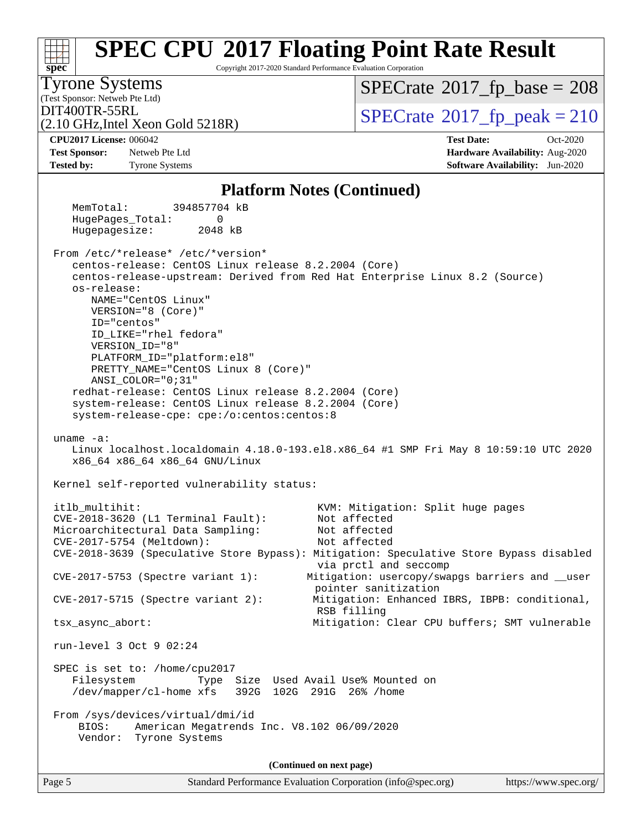#### **[spec](http://www.spec.org/) [SPEC CPU](http://www.spec.org/auto/cpu2017/Docs/result-fields.html#SPECCPU2017FloatingPointRateResult)[2017 Floating Point Rate Result](http://www.spec.org/auto/cpu2017/Docs/result-fields.html#SPECCPU2017FloatingPointRateResult)** Copyright 2017-2020 Standard Performance Evaluation Corporation (Test Sponsor: Netweb Pte Ltd) Tyrone Systems (2.10 GHz,Intel Xeon Gold 5218R)  $\text{DIT400TR-55RL}$ <br>(2.10 GHz Intel Xeon Gold 5218R)  $\text{SPECrate}$  $\text{SPECrate}$  $\text{SPECrate}$ <sup>®</sup>[2017\\_fp\\_peak = 2](http://www.spec.org/auto/cpu2017/Docs/result-fields.html#SPECrate2017fppeak)10  $SPECTate$ <sup>®</sup>[2017\\_fp\\_base =](http://www.spec.org/auto/cpu2017/Docs/result-fields.html#SPECrate2017fpbase) 208 **[CPU2017 License:](http://www.spec.org/auto/cpu2017/Docs/result-fields.html#CPU2017License)** 006042 **[Test Date:](http://www.spec.org/auto/cpu2017/Docs/result-fields.html#TestDate)** Oct-2020 **[Test Sponsor:](http://www.spec.org/auto/cpu2017/Docs/result-fields.html#TestSponsor)** Netweb Pte Ltd **[Hardware Availability:](http://www.spec.org/auto/cpu2017/Docs/result-fields.html#HardwareAvailability)** Aug-2020 **[Tested by:](http://www.spec.org/auto/cpu2017/Docs/result-fields.html#Testedby)** Tyrone Systems **[Software Availability:](http://www.spec.org/auto/cpu2017/Docs/result-fields.html#SoftwareAvailability)** Jun-2020 **[Platform Notes \(Continued\)](http://www.spec.org/auto/cpu2017/Docs/result-fields.html#PlatformNotes)** MemTotal: 394857704 kB HugePages\_Total: 0 Hugepagesize: 2048 kB From /etc/\*release\* /etc/\*version\* centos-release: CentOS Linux release 8.2.2004 (Core) centos-release-upstream: Derived from Red Hat Enterprise Linux 8.2 (Source) os-release: NAME="CentOS Linux" VERSION="8 (Core)" ID="centos" ID\_LIKE="rhel fedora" VERSION\_ID="8" PLATFORM\_ID="platform:el8" PRETTY\_NAME="CentOS Linux 8 (Core)" ANSI\_COLOR="0;31" redhat-release: CentOS Linux release 8.2.2004 (Core) system-release: CentOS Linux release 8.2.2004 (Core) system-release-cpe: cpe:/o:centos:centos:8 uname -a: Linux localhost.localdomain 4.18.0-193.el8.x86\_64 #1 SMP Fri May 8 10:59:10 UTC 2020 x86\_64 x86\_64 x86\_64 GNU/Linux Kernel self-reported vulnerability status: itlb\_multihit: KVM: Mitigation: Split huge pages CVE-2018-3620 (L1 Terminal Fault): Not affected Microarchitectural Data Sampling: Not affected CVE-2017-5754 (Meltdown): Not affected CVE-2018-3639 (Speculative Store Bypass): Mitigation: Speculative Store Bypass disabled via prctl and seccomp CVE-2017-5753 (Spectre variant 1): Mitigation: usercopy/swapgs barriers and \_\_user pointer sanitization CVE-2017-5715 (Spectre variant 2): Mitigation: Enhanced IBRS, IBPB: conditional, RSB filling tsx\_async\_abort: Mitigation: Clear CPU buffers; SMT vulnerable run-level 3 Oct 9 02:24 SPEC is set to: /home/cpu2017 Filesystem Type Size Used Avail Use% Mounted on /dev/mapper/cl-home xfs 392G 102G 291G 26% /home From /sys/devices/virtual/dmi/id BIOS: American Megatrends Inc. V8.102 06/09/2020 Vendor: Tyrone Systems **(Continued on next page)**

Page 5 Standard Performance Evaluation Corporation [\(info@spec.org\)](mailto:info@spec.org) <https://www.spec.org/>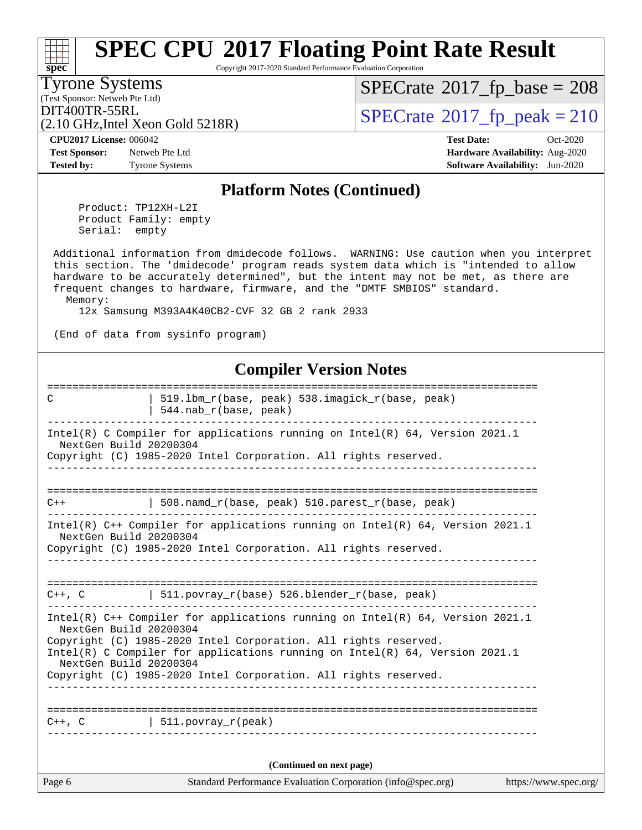#### Page 6 Standard Performance Evaluation Corporation [\(info@spec.org\)](mailto:info@spec.org) <https://www.spec.org/> **[spec](http://www.spec.org/) [SPEC CPU](http://www.spec.org/auto/cpu2017/Docs/result-fields.html#SPECCPU2017FloatingPointRateResult)[2017 Floating Point Rate Result](http://www.spec.org/auto/cpu2017/Docs/result-fields.html#SPECCPU2017FloatingPointRateResult)** Copyright 2017-2020 Standard Performance Evaluation Corporation (Test Sponsor: Netweb Pte Ltd) Tyrone Systems (2.10 GHz,Intel Xeon Gold 5218R)  $DIT400TR-55RL$ <br>(2.10 GHz Intel Xeon Gold 5218R) [SPECrate](http://www.spec.org/auto/cpu2017/Docs/result-fields.html#SPECrate2017fppeak)®[2017\\_fp\\_peak = 2](http://www.spec.org/auto/cpu2017/Docs/result-fields.html#SPECrate2017fppeak)10  $SPECTate$ <sup>®</sup>[2017\\_fp\\_base =](http://www.spec.org/auto/cpu2017/Docs/result-fields.html#SPECrate2017fpbase) 208 **[CPU2017 License:](http://www.spec.org/auto/cpu2017/Docs/result-fields.html#CPU2017License)** 006042 **[Test Date:](http://www.spec.org/auto/cpu2017/Docs/result-fields.html#TestDate)** Oct-2020 **[Test Sponsor:](http://www.spec.org/auto/cpu2017/Docs/result-fields.html#TestSponsor)** Netweb Pte Ltd **[Hardware Availability:](http://www.spec.org/auto/cpu2017/Docs/result-fields.html#HardwareAvailability)** Aug-2020 **[Tested by:](http://www.spec.org/auto/cpu2017/Docs/result-fields.html#Testedby)** Tyrone Systems **[Software Availability:](http://www.spec.org/auto/cpu2017/Docs/result-fields.html#SoftwareAvailability)** Jun-2020 **[Platform Notes \(Continued\)](http://www.spec.org/auto/cpu2017/Docs/result-fields.html#PlatformNotes)** Product: TP12XH-L2I Product Family: empty Serial: empty Additional information from dmidecode follows. WARNING: Use caution when you interpret this section. The 'dmidecode' program reads system data which is "intended to allow hardware to be accurately determined", but the intent may not be met, as there are frequent changes to hardware, firmware, and the "DMTF SMBIOS" standard. Memory: 12x Samsung M393A4K40CB2-CVF 32 GB 2 rank 2933 (End of data from sysinfo program) **[Compiler Version Notes](http://www.spec.org/auto/cpu2017/Docs/result-fields.html#CompilerVersionNotes)** ============================================================================== C | 519.1bm\_r(base, peak) 538.imagick\_r(base, peak) | 544.nab\_r(base, peak) ------------------------------------------------------------------------------ Intel(R) C Compiler for applications running on Intel(R) 64, Version 2021.1 NextGen Build 20200304 Copyright (C) 1985-2020 Intel Corporation. All rights reserved. ------------------------------------------------------------------------------ ==============================================================================  $\vert$  508.namd\_r(base, peak) 510.parest\_r(base, peak) ------------------------------------------------------------------------------ Intel(R) C++ Compiler for applications running on Intel(R) 64, Version 2021.1 NextGen Build 20200304 Copyright (C) 1985-2020 Intel Corporation. All rights reserved. ------------------------------------------------------------------------------ ==============================================================================  $C++$ , C  $| 511.povray_r(base) 526.blender_r(base, peak)$ ------------------------------------------------------------------------------ Intel(R) C++ Compiler for applications running on Intel(R) 64, Version 2021.1 NextGen Build 20200304 Copyright (C) 1985-2020 Intel Corporation. All rights reserved. Intel(R) C Compiler for applications running on Intel(R) 64, Version 2021.1 NextGen Build 20200304 Copyright (C) 1985-2020 Intel Corporation. All rights reserved. ------------------------------------------------------------------------------ ==============================================================================  $C++$ ,  $C$  | 511.povray\_r(peak) ------------------------------------------------------------------------------ **(Continued on next page)**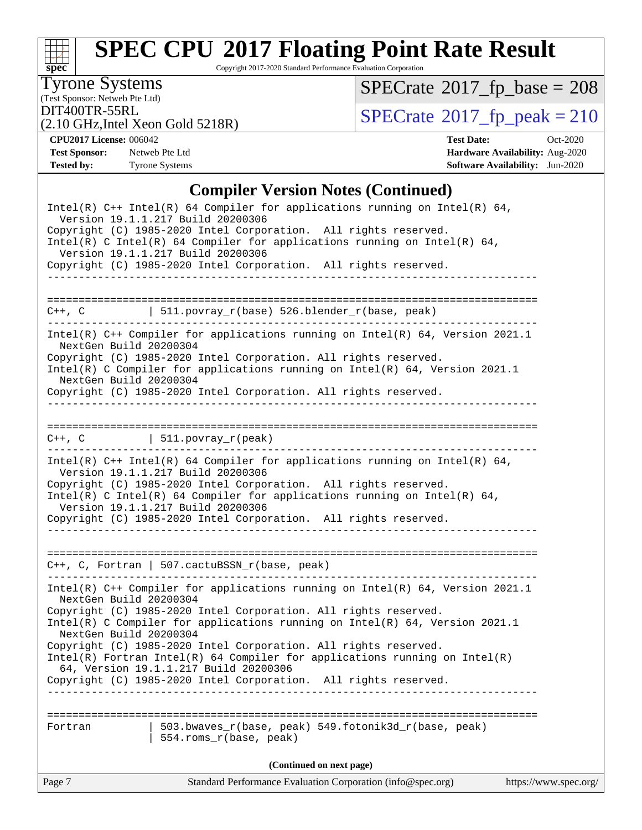

Copyright 2017-2020 Standard Performance Evaluation Corporation

(Test Sponsor: Netweb Pte Ltd) Tyrone Systems

 $SPECrate$ <sup>®</sup>[2017\\_fp\\_base =](http://www.spec.org/auto/cpu2017/Docs/result-fields.html#SPECrate2017fpbase) 208

(2.10 GHz,Intel Xeon Gold 5218R)

DIT400TR-55RL<br>(2.10 GHz Intel Xeon Gold 5218R) [SPECrate](http://www.spec.org/auto/cpu2017/Docs/result-fields.html#SPECrate2017fppeak)®[2017\\_fp\\_peak = 2](http://www.spec.org/auto/cpu2017/Docs/result-fields.html#SPECrate2017fppeak)10

**[Test Sponsor:](http://www.spec.org/auto/cpu2017/Docs/result-fields.html#TestSponsor)** Netweb Pte Ltd **[Hardware Availability:](http://www.spec.org/auto/cpu2017/Docs/result-fields.html#HardwareAvailability)** Aug-2020

**[CPU2017 License:](http://www.spec.org/auto/cpu2017/Docs/result-fields.html#CPU2017License)** 006042 **[Test Date:](http://www.spec.org/auto/cpu2017/Docs/result-fields.html#TestDate)** Oct-2020 **[Tested by:](http://www.spec.org/auto/cpu2017/Docs/result-fields.html#Testedby)** Tyrone Systems **[Software Availability:](http://www.spec.org/auto/cpu2017/Docs/result-fields.html#SoftwareAvailability)** Jun-2020

### **[Compiler Version Notes \(Continued\)](http://www.spec.org/auto/cpu2017/Docs/result-fields.html#CompilerVersionNotes)**

| (Continued on next page)<br>Standard Performance Evaluation Corporation (info@spec.org)<br>https://www.spec.org/<br>Page 7                                                                                                                                                                                                                                                 |
|----------------------------------------------------------------------------------------------------------------------------------------------------------------------------------------------------------------------------------------------------------------------------------------------------------------------------------------------------------------------------|
| 503.bwaves_r(base, peak) 549.fotonik3d_r(base, peak)<br>Fortran<br>554.roms_r(base, peak)                                                                                                                                                                                                                                                                                  |
| Copyright (C) 1985-2020 Intel Corporation. All rights reserved.<br>$Intel(R)$ Fortran Intel(R) 64 Compiler for applications running on Intel(R)<br>64, Version 19.1.1.217 Build 20200306<br>Copyright (C) 1985-2020 Intel Corporation. All rights reserved.                                                                                                                |
| Intel(R) C++ Compiler for applications running on Intel(R) 64, Version 2021.1<br>NextGen Build 20200304<br>Copyright (C) 1985-2020 Intel Corporation. All rights reserved.<br>Intel(R) C Compiler for applications running on Intel(R) $64$ , Version 2021.1<br>NextGen Build 20200304                                                                                     |
| C++, C, Fortran   507.cactuBSSN_r(base, peak)<br>-------------------<br>.                                                                                                                                                                                                                                                                                                  |
| Intel(R) $C++$ Intel(R) 64 Compiler for applications running on Intel(R) 64,<br>Version 19.1.1.217 Build 20200306<br>Copyright (C) 1985-2020 Intel Corporation. All rights reserved.<br>$Intel(R)$ C Intel(R) 64 Compiler for applications running on Intel(R) 64,<br>Version 19.1.1.217 Build 20200306<br>Copyright (C) 1985-2020 Intel Corporation. All rights reserved. |
| $C++$ , C $\qquad \qquad \vert$ 511.povray_r(peak)<br>___________________________________                                                                                                                                                                                                                                                                                  |
| Copyright (C) 1985-2020 Intel Corporation. All rights reserved.                                                                                                                                                                                                                                                                                                            |
| Intel(R) $C++$ Compiler for applications running on Intel(R) 64, Version 2021.1<br>NextGen Build 20200304<br>Copyright (C) 1985-2020 Intel Corporation. All rights reserved.<br>Intel(R) C Compiler for applications running on Intel(R) $64$ , Version 2021.1<br>NextGen Build 20200304                                                                                   |
| C++, C $\vert$ 511.povray_r(base) 526.blender_r(base, peak)                                                                                                                                                                                                                                                                                                                |
| Version 19.1.1.217 Build 20200306<br>Copyright (C) 1985-2020 Intel Corporation. All rights reserved.                                                                                                                                                                                                                                                                       |
| Intel(R) $C++$ Intel(R) 64 Compiler for applications running on Intel(R) 64,<br>Version 19.1.1.217 Build 20200306<br>Copyright (C) 1985-2020 Intel Corporation. All rights reserved.<br>Intel(R) C Intel(R) 64 Compiler for applications running on Intel(R) 64,                                                                                                           |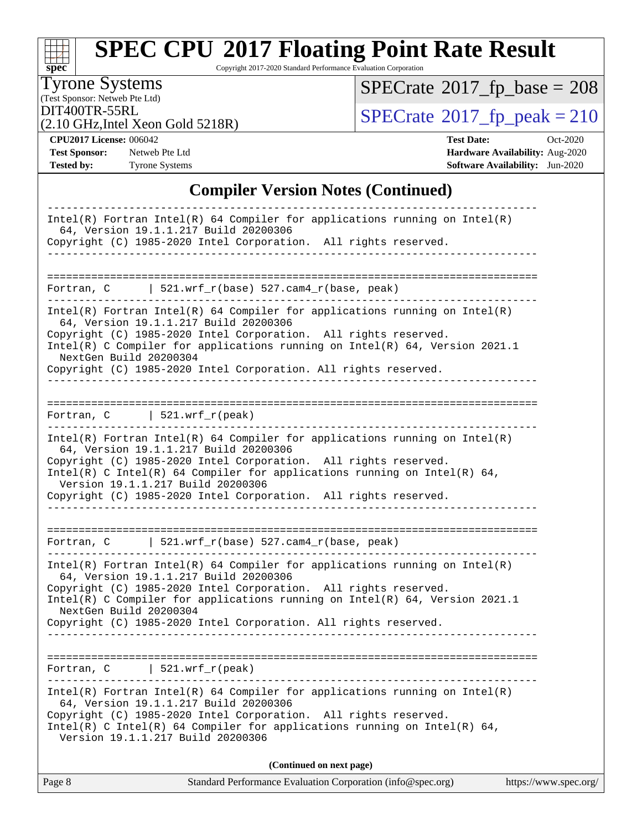# **[SPEC CPU](http://www.spec.org/auto/cpu2017/Docs/result-fields.html#SPECCPU2017FloatingPointRateResult)[2017 Floating Point Rate Result](http://www.spec.org/auto/cpu2017/Docs/result-fields.html#SPECCPU2017FloatingPointRateResult)**

Copyright 2017-2020 Standard Performance Evaluation Corporation

(Test Sponsor: Netweb Pte Ltd) Tyrone Systems

 $SPECrate$ <sup>®</sup>[2017\\_fp\\_base =](http://www.spec.org/auto/cpu2017/Docs/result-fields.html#SPECrate2017fpbase) 208

(2.10 GHz,Intel Xeon Gold 5218R)

DIT400TR-55RL<br> $(2.10 \text{ GHz Intel Xeon Gold 5218R})$  [SPECrate](http://www.spec.org/auto/cpu2017/Docs/result-fields.html#SPECrate2017fppeak)®[2017\\_fp\\_peak = 2](http://www.spec.org/auto/cpu2017/Docs/result-fields.html#SPECrate2017fppeak)10

**[CPU2017 License:](http://www.spec.org/auto/cpu2017/Docs/result-fields.html#CPU2017License)** 006042 **[Test Date:](http://www.spec.org/auto/cpu2017/Docs/result-fields.html#TestDate)** Oct-2020 **[Test Sponsor:](http://www.spec.org/auto/cpu2017/Docs/result-fields.html#TestSponsor)** Netweb Pte Ltd **[Hardware Availability:](http://www.spec.org/auto/cpu2017/Docs/result-fields.html#HardwareAvailability)** Aug-2020 **[Tested by:](http://www.spec.org/auto/cpu2017/Docs/result-fields.html#Testedby)** Tyrone Systems **[Software Availability:](http://www.spec.org/auto/cpu2017/Docs/result-fields.html#SoftwareAvailability)** Jun-2020

### **[Compiler Version Notes \(Continued\)](http://www.spec.org/auto/cpu2017/Docs/result-fields.html#CompilerVersionNotes)**

| $Intel(R)$ Fortran Intel(R) 64 Compiler for applications running on Intel(R)                                                                                                                                                                                                                                                                                         |
|----------------------------------------------------------------------------------------------------------------------------------------------------------------------------------------------------------------------------------------------------------------------------------------------------------------------------------------------------------------------|
| 64, Version 19.1.1.217 Build 20200306<br>Copyright (C) 1985-2020 Intel Corporation. All rights reserved.                                                                                                                                                                                                                                                             |
|                                                                                                                                                                                                                                                                                                                                                                      |
| 521.wrf_r(base) 527.cam4_r(base, peak)<br>Fortran, C                                                                                                                                                                                                                                                                                                                 |
| $Intel(R)$ Fortran Intel(R) 64 Compiler for applications running on Intel(R)<br>64, Version 19.1.1.217 Build 20200306<br>Copyright (C) 1985-2020 Intel Corporation. All rights reserved.<br>Intel(R) C Compiler for applications running on Intel(R) 64, Version 2021.1<br>NextGen Build 20200304<br>Copyright (C) 1985-2020 Intel Corporation. All rights reserved. |
| Fortran, $C$   521.wrf_r(peak)                                                                                                                                                                                                                                                                                                                                       |
| $Intel(R)$ Fortran Intel(R) 64 Compiler for applications running on Intel(R)<br>64, Version 19.1.1.217 Build 20200306<br>Copyright (C) 1985-2020 Intel Corporation. All rights reserved.<br>$Intel(R)$ C Intel(R) 64 Compiler for applications running on Intel(R) 64,<br>Version 19.1.1.217 Build 20200306                                                          |
| Copyright (C) 1985-2020 Intel Corporation. All rights reserved.                                                                                                                                                                                                                                                                                                      |
| Fortran, C   521.wrf_r(base) 527.cam4_r(base, peak)                                                                                                                                                                                                                                                                                                                  |
| $Intel(R)$ Fortran Intel(R) 64 Compiler for applications running on Intel(R)<br>64, Version 19.1.1.217 Build 20200306<br>Copyright (C) 1985-2020 Intel Corporation. All rights reserved.<br>Intel(R) C Compiler for applications running on Intel(R) 64, Version 2021.1<br>NextGen Build 20200304<br>Copyright (C) 1985-2020 Intel Corporation. All rights reserved. |
| $521.wrf_r(peak)$<br>Fortran, C                                                                                                                                                                                                                                                                                                                                      |
|                                                                                                                                                                                                                                                                                                                                                                      |
| $Intel(R)$ Fortran Intel(R) 64 Compiler for applications running on Intel(R)<br>64, Version 19.1.1.217 Build 20200306<br>Copyright (C) 1985-2020 Intel Corporation. All rights reserved.<br>Intel(R) C Intel(R) 64 Compiler for applications running on Intel(R) 64,<br>Version 19.1.1.217 Build 20200306                                                            |
| (Continued on next page)                                                                                                                                                                                                                                                                                                                                             |

| Page 8<br>https://www.spec.org/<br>Standard Performance Evaluation Corporation (info@spec.org) |
|------------------------------------------------------------------------------------------------|
|------------------------------------------------------------------------------------------------|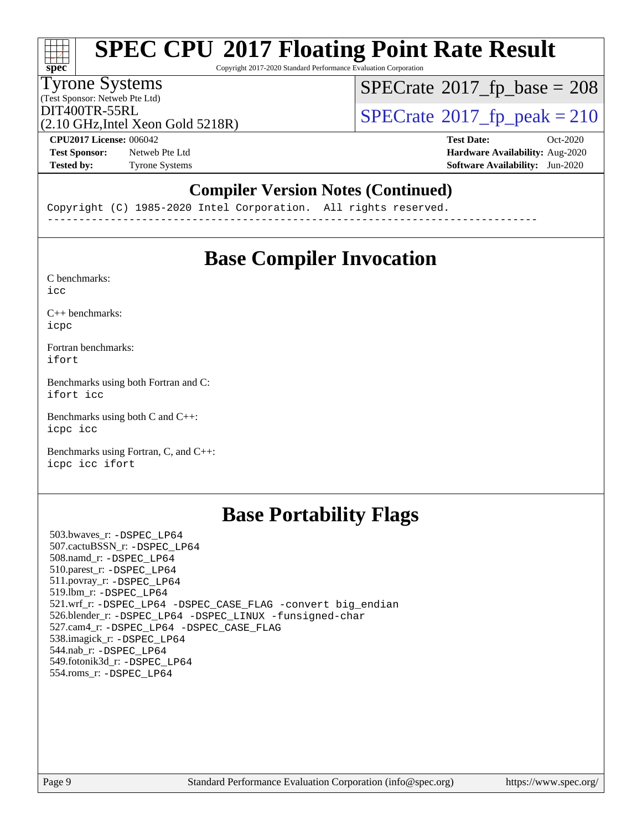# **[SPEC CPU](http://www.spec.org/auto/cpu2017/Docs/result-fields.html#SPECCPU2017FloatingPointRateResult)[2017 Floating Point Rate Result](http://www.spec.org/auto/cpu2017/Docs/result-fields.html#SPECCPU2017FloatingPointRateResult)**

Copyright 2017-2020 Standard Performance Evaluation Corporation

### Tyrone Systems

(Test Sponsor: Netweb Pte Ltd)

 $SPECTate$ <sup>®</sup>[2017\\_fp\\_base =](http://www.spec.org/auto/cpu2017/Docs/result-fields.html#SPECrate2017fpbase) 208

(2.10 GHz,Intel Xeon Gold 5218R)

 $DIT400TR-55RL$ <br>(2.10 GHz Intel Xeon Gold 5218R) [SPECrate](http://www.spec.org/auto/cpu2017/Docs/result-fields.html#SPECrate2017fppeak)®[2017\\_fp\\_peak = 2](http://www.spec.org/auto/cpu2017/Docs/result-fields.html#SPECrate2017fppeak)10

**[Test Sponsor:](http://www.spec.org/auto/cpu2017/Docs/result-fields.html#TestSponsor)** Netweb Pte Ltd **[Hardware Availability:](http://www.spec.org/auto/cpu2017/Docs/result-fields.html#HardwareAvailability)** Aug-2020

**[CPU2017 License:](http://www.spec.org/auto/cpu2017/Docs/result-fields.html#CPU2017License)** 006042 **[Test Date:](http://www.spec.org/auto/cpu2017/Docs/result-fields.html#TestDate)** Oct-2020 **[Tested by:](http://www.spec.org/auto/cpu2017/Docs/result-fields.html#Testedby)** Tyrone Systems **[Software Availability:](http://www.spec.org/auto/cpu2017/Docs/result-fields.html#SoftwareAvailability)** Jun-2020

### **[Compiler Version Notes \(Continued\)](http://www.spec.org/auto/cpu2017/Docs/result-fields.html#CompilerVersionNotes)**

Copyright (C) 1985-2020 Intel Corporation. All rights reserved. ------------------------------------------------------------------------------

### **[Base Compiler Invocation](http://www.spec.org/auto/cpu2017/Docs/result-fields.html#BaseCompilerInvocation)**

[C benchmarks](http://www.spec.org/auto/cpu2017/Docs/result-fields.html#Cbenchmarks): [icc](http://www.spec.org/cpu2017/results/res2020q4/cpu2017-20201012-24144.flags.html#user_CCbase_intel_icc_66fc1ee009f7361af1fbd72ca7dcefbb700085f36577c54f309893dd4ec40d12360134090235512931783d35fd58c0460139e722d5067c5574d8eaf2b3e37e92)

[C++ benchmarks:](http://www.spec.org/auto/cpu2017/Docs/result-fields.html#CXXbenchmarks) [icpc](http://www.spec.org/cpu2017/results/res2020q4/cpu2017-20201012-24144.flags.html#user_CXXbase_intel_icpc_c510b6838c7f56d33e37e94d029a35b4a7bccf4766a728ee175e80a419847e808290a9b78be685c44ab727ea267ec2f070ec5dc83b407c0218cded6866a35d07)

[Fortran benchmarks](http://www.spec.org/auto/cpu2017/Docs/result-fields.html#Fortranbenchmarks): [ifort](http://www.spec.org/cpu2017/results/res2020q4/cpu2017-20201012-24144.flags.html#user_FCbase_intel_ifort_8111460550e3ca792625aed983ce982f94888b8b503583aa7ba2b8303487b4d8a21a13e7191a45c5fd58ff318f48f9492884d4413fa793fd88dd292cad7027ca)

[Benchmarks using both Fortran and C](http://www.spec.org/auto/cpu2017/Docs/result-fields.html#BenchmarksusingbothFortranandC): [ifort](http://www.spec.org/cpu2017/results/res2020q4/cpu2017-20201012-24144.flags.html#user_CC_FCbase_intel_ifort_8111460550e3ca792625aed983ce982f94888b8b503583aa7ba2b8303487b4d8a21a13e7191a45c5fd58ff318f48f9492884d4413fa793fd88dd292cad7027ca) [icc](http://www.spec.org/cpu2017/results/res2020q4/cpu2017-20201012-24144.flags.html#user_CC_FCbase_intel_icc_66fc1ee009f7361af1fbd72ca7dcefbb700085f36577c54f309893dd4ec40d12360134090235512931783d35fd58c0460139e722d5067c5574d8eaf2b3e37e92)

[Benchmarks using both C and C++](http://www.spec.org/auto/cpu2017/Docs/result-fields.html#BenchmarksusingbothCandCXX): [icpc](http://www.spec.org/cpu2017/results/res2020q4/cpu2017-20201012-24144.flags.html#user_CC_CXXbase_intel_icpc_c510b6838c7f56d33e37e94d029a35b4a7bccf4766a728ee175e80a419847e808290a9b78be685c44ab727ea267ec2f070ec5dc83b407c0218cded6866a35d07) [icc](http://www.spec.org/cpu2017/results/res2020q4/cpu2017-20201012-24144.flags.html#user_CC_CXXbase_intel_icc_66fc1ee009f7361af1fbd72ca7dcefbb700085f36577c54f309893dd4ec40d12360134090235512931783d35fd58c0460139e722d5067c5574d8eaf2b3e37e92)

[Benchmarks using Fortran, C, and C++:](http://www.spec.org/auto/cpu2017/Docs/result-fields.html#BenchmarksusingFortranCandCXX) [icpc](http://www.spec.org/cpu2017/results/res2020q4/cpu2017-20201012-24144.flags.html#user_CC_CXX_FCbase_intel_icpc_c510b6838c7f56d33e37e94d029a35b4a7bccf4766a728ee175e80a419847e808290a9b78be685c44ab727ea267ec2f070ec5dc83b407c0218cded6866a35d07) [icc](http://www.spec.org/cpu2017/results/res2020q4/cpu2017-20201012-24144.flags.html#user_CC_CXX_FCbase_intel_icc_66fc1ee009f7361af1fbd72ca7dcefbb700085f36577c54f309893dd4ec40d12360134090235512931783d35fd58c0460139e722d5067c5574d8eaf2b3e37e92) [ifort](http://www.spec.org/cpu2017/results/res2020q4/cpu2017-20201012-24144.flags.html#user_CC_CXX_FCbase_intel_ifort_8111460550e3ca792625aed983ce982f94888b8b503583aa7ba2b8303487b4d8a21a13e7191a45c5fd58ff318f48f9492884d4413fa793fd88dd292cad7027ca)

### **[Base Portability Flags](http://www.spec.org/auto/cpu2017/Docs/result-fields.html#BasePortabilityFlags)**

 503.bwaves\_r: [-DSPEC\\_LP64](http://www.spec.org/cpu2017/results/res2020q4/cpu2017-20201012-24144.flags.html#suite_basePORTABILITY503_bwaves_r_DSPEC_LP64) 507.cactuBSSN\_r: [-DSPEC\\_LP64](http://www.spec.org/cpu2017/results/res2020q4/cpu2017-20201012-24144.flags.html#suite_basePORTABILITY507_cactuBSSN_r_DSPEC_LP64) 508.namd\_r: [-DSPEC\\_LP64](http://www.spec.org/cpu2017/results/res2020q4/cpu2017-20201012-24144.flags.html#suite_basePORTABILITY508_namd_r_DSPEC_LP64) 510.parest\_r: [-DSPEC\\_LP64](http://www.spec.org/cpu2017/results/res2020q4/cpu2017-20201012-24144.flags.html#suite_basePORTABILITY510_parest_r_DSPEC_LP64) 511.povray\_r: [-DSPEC\\_LP64](http://www.spec.org/cpu2017/results/res2020q4/cpu2017-20201012-24144.flags.html#suite_basePORTABILITY511_povray_r_DSPEC_LP64) 519.lbm\_r: [-DSPEC\\_LP64](http://www.spec.org/cpu2017/results/res2020q4/cpu2017-20201012-24144.flags.html#suite_basePORTABILITY519_lbm_r_DSPEC_LP64) 521.wrf\_r: [-DSPEC\\_LP64](http://www.spec.org/cpu2017/results/res2020q4/cpu2017-20201012-24144.flags.html#suite_basePORTABILITY521_wrf_r_DSPEC_LP64) [-DSPEC\\_CASE\\_FLAG](http://www.spec.org/cpu2017/results/res2020q4/cpu2017-20201012-24144.flags.html#b521.wrf_r_baseCPORTABILITY_DSPEC_CASE_FLAG) [-convert big\\_endian](http://www.spec.org/cpu2017/results/res2020q4/cpu2017-20201012-24144.flags.html#user_baseFPORTABILITY521_wrf_r_convert_big_endian_c3194028bc08c63ac5d04de18c48ce6d347e4e562e8892b8bdbdc0214820426deb8554edfa529a3fb25a586e65a3d812c835984020483e7e73212c4d31a38223) 526.blender\_r: [-DSPEC\\_LP64](http://www.spec.org/cpu2017/results/res2020q4/cpu2017-20201012-24144.flags.html#suite_basePORTABILITY526_blender_r_DSPEC_LP64) [-DSPEC\\_LINUX](http://www.spec.org/cpu2017/results/res2020q4/cpu2017-20201012-24144.flags.html#b526.blender_r_baseCPORTABILITY_DSPEC_LINUX) [-funsigned-char](http://www.spec.org/cpu2017/results/res2020q4/cpu2017-20201012-24144.flags.html#user_baseCPORTABILITY526_blender_r_force_uchar_40c60f00ab013830e2dd6774aeded3ff59883ba5a1fc5fc14077f794d777847726e2a5858cbc7672e36e1b067e7e5c1d9a74f7176df07886a243d7cc18edfe67) 527.cam4\_r: [-DSPEC\\_LP64](http://www.spec.org/cpu2017/results/res2020q4/cpu2017-20201012-24144.flags.html#suite_basePORTABILITY527_cam4_r_DSPEC_LP64) [-DSPEC\\_CASE\\_FLAG](http://www.spec.org/cpu2017/results/res2020q4/cpu2017-20201012-24144.flags.html#b527.cam4_r_baseCPORTABILITY_DSPEC_CASE_FLAG) 538.imagick\_r: [-DSPEC\\_LP64](http://www.spec.org/cpu2017/results/res2020q4/cpu2017-20201012-24144.flags.html#suite_basePORTABILITY538_imagick_r_DSPEC_LP64) 544.nab\_r: [-DSPEC\\_LP64](http://www.spec.org/cpu2017/results/res2020q4/cpu2017-20201012-24144.flags.html#suite_basePORTABILITY544_nab_r_DSPEC_LP64) 549.fotonik3d\_r: [-DSPEC\\_LP64](http://www.spec.org/cpu2017/results/res2020q4/cpu2017-20201012-24144.flags.html#suite_basePORTABILITY549_fotonik3d_r_DSPEC_LP64) 554.roms\_r: [-DSPEC\\_LP64](http://www.spec.org/cpu2017/results/res2020q4/cpu2017-20201012-24144.flags.html#suite_basePORTABILITY554_roms_r_DSPEC_LP64)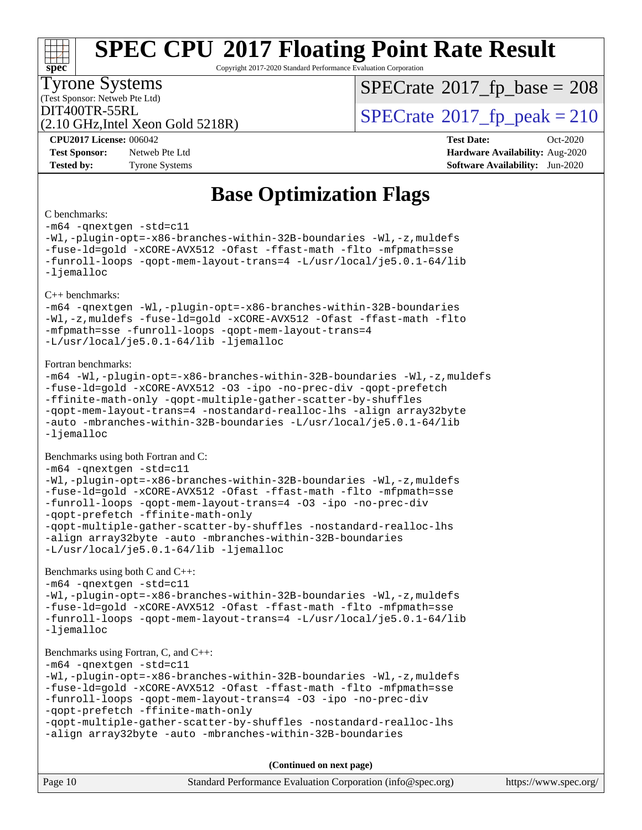#### **[SPEC CPU](http://www.spec.org/auto/cpu2017/Docs/result-fields.html#SPECCPU2017FloatingPointRateResult)[2017 Floating Point Rate Result](http://www.spec.org/auto/cpu2017/Docs/result-fields.html#SPECCPU2017FloatingPointRateResult)**  $+\ +$ **[spec](http://www.spec.org/)** Copyright 2017-2020 Standard Performance Evaluation Corporation Tyrone Systems  $SPECTate$ <sup>®</sup>[2017\\_fp\\_base =](http://www.spec.org/auto/cpu2017/Docs/result-fields.html#SPECrate2017fpbase) 208 (Test Sponsor: Netweb Pte Ltd)  $\text{DIT400TR-55RL}$ <br>(2.10 GHz Intel Xeon Gold 5218R)  $\text{SPECrate}$  $\text{SPECrate}$  $\text{SPECrate}$ <sup>®</sup>[2017\\_fp\\_peak = 2](http://www.spec.org/auto/cpu2017/Docs/result-fields.html#SPECrate2017fppeak)10 (2.10 GHz,Intel Xeon Gold 5218R) **[CPU2017 License:](http://www.spec.org/auto/cpu2017/Docs/result-fields.html#CPU2017License)** 006042 **[Test Date:](http://www.spec.org/auto/cpu2017/Docs/result-fields.html#TestDate)** Oct-2020 **[Test Sponsor:](http://www.spec.org/auto/cpu2017/Docs/result-fields.html#TestSponsor)** Netweb Pte Ltd **[Hardware Availability:](http://www.spec.org/auto/cpu2017/Docs/result-fields.html#HardwareAvailability)** Aug-2020 **[Tested by:](http://www.spec.org/auto/cpu2017/Docs/result-fields.html#Testedby)** Tyrone Systems **[Software Availability:](http://www.spec.org/auto/cpu2017/Docs/result-fields.html#SoftwareAvailability)** Jun-2020 **[Base Optimization Flags](http://www.spec.org/auto/cpu2017/Docs/result-fields.html#BaseOptimizationFlags)** [C benchmarks](http://www.spec.org/auto/cpu2017/Docs/result-fields.html#Cbenchmarks): [-m64](http://www.spec.org/cpu2017/results/res2020q4/cpu2017-20201012-24144.flags.html#user_CCbase_m64-icc) [-qnextgen](http://www.spec.org/cpu2017/results/res2020q4/cpu2017-20201012-24144.flags.html#user_CCbase_f-qnextgen) [-std=c11](http://www.spec.org/cpu2017/results/res2020q4/cpu2017-20201012-24144.flags.html#user_CCbase_std-icc-std_0e1c27790398a4642dfca32ffe6c27b5796f9c2d2676156f2e42c9c44eaad0c049b1cdb667a270c34d979996257aeb8fc440bfb01818dbc9357bd9d174cb8524) [-Wl,-plugin-opt=-x86-branches-within-32B-boundaries](http://www.spec.org/cpu2017/results/res2020q4/cpu2017-20201012-24144.flags.html#user_CCbase_f-x86-branches-within-32B-boundaries_0098b4e4317ae60947b7b728078a624952a08ac37a3c797dfb4ffeb399e0c61a9dd0f2f44ce917e9361fb9076ccb15e7824594512dd315205382d84209e912f3) [-Wl,-z,muldefs](http://www.spec.org/cpu2017/results/res2020q4/cpu2017-20201012-24144.flags.html#user_CCbase_link_force_multiple1_b4cbdb97b34bdee9ceefcfe54f4c8ea74255f0b02a4b23e853cdb0e18eb4525ac79b5a88067c842dd0ee6996c24547a27a4b99331201badda8798ef8a743f577) [-fuse-ld=gold](http://www.spec.org/cpu2017/results/res2020q4/cpu2017-20201012-24144.flags.html#user_CCbase_f-fuse-ld_920b3586e2b8c6e0748b9c84fa9b744736ba725a32cab14ad8f3d4ad28eecb2f59d1144823d2e17006539a88734fe1fc08fc3035f7676166309105a78aaabc32) [-xCORE-AVX512](http://www.spec.org/cpu2017/results/res2020q4/cpu2017-20201012-24144.flags.html#user_CCbase_f-xCORE-AVX512) [-Ofast](http://www.spec.org/cpu2017/results/res2020q4/cpu2017-20201012-24144.flags.html#user_CCbase_f-Ofast) [-ffast-math](http://www.spec.org/cpu2017/results/res2020q4/cpu2017-20201012-24144.flags.html#user_CCbase_f-ffast-math) [-flto](http://www.spec.org/cpu2017/results/res2020q4/cpu2017-20201012-24144.flags.html#user_CCbase_f-flto) [-mfpmath=sse](http://www.spec.org/cpu2017/results/res2020q4/cpu2017-20201012-24144.flags.html#user_CCbase_f-mfpmath_70eb8fac26bde974f8ab713bc9086c5621c0b8d2f6c86f38af0bd7062540daf19db5f3a066d8c6684be05d84c9b6322eb3b5be6619d967835195b93d6c02afa1) [-funroll-loops](http://www.spec.org/cpu2017/results/res2020q4/cpu2017-20201012-24144.flags.html#user_CCbase_f-funroll-loops) [-qopt-mem-layout-trans=4](http://www.spec.org/cpu2017/results/res2020q4/cpu2017-20201012-24144.flags.html#user_CCbase_f-qopt-mem-layout-trans_fa39e755916c150a61361b7846f310bcdf6f04e385ef281cadf3647acec3f0ae266d1a1d22d972a7087a248fd4e6ca390a3634700869573d231a252c784941a8) [-L/usr/local/je5.0.1-64/lib](http://www.spec.org/cpu2017/results/res2020q4/cpu2017-20201012-24144.flags.html#user_CCbase_jemalloc_link_path64_4b10a636b7bce113509b17f3bd0d6226c5fb2346b9178c2d0232c14f04ab830f976640479e5c33dc2bcbbdad86ecfb6634cbbd4418746f06f368b512fced5394) [-ljemalloc](http://www.spec.org/cpu2017/results/res2020q4/cpu2017-20201012-24144.flags.html#user_CCbase_jemalloc_link_lib_d1249b907c500fa1c0672f44f562e3d0f79738ae9e3c4a9c376d49f265a04b9c99b167ecedbf6711b3085be911c67ff61f150a17b3472be731631ba4d0471706) [C++ benchmarks](http://www.spec.org/auto/cpu2017/Docs/result-fields.html#CXXbenchmarks): [-m64](http://www.spec.org/cpu2017/results/res2020q4/cpu2017-20201012-24144.flags.html#user_CXXbase_m64-icc) [-qnextgen](http://www.spec.org/cpu2017/results/res2020q4/cpu2017-20201012-24144.flags.html#user_CXXbase_f-qnextgen) [-Wl,-plugin-opt=-x86-branches-within-32B-boundaries](http://www.spec.org/cpu2017/results/res2020q4/cpu2017-20201012-24144.flags.html#user_CXXbase_f-x86-branches-within-32B-boundaries_0098b4e4317ae60947b7b728078a624952a08ac37a3c797dfb4ffeb399e0c61a9dd0f2f44ce917e9361fb9076ccb15e7824594512dd315205382d84209e912f3) [-Wl,-z,muldefs](http://www.spec.org/cpu2017/results/res2020q4/cpu2017-20201012-24144.flags.html#user_CXXbase_link_force_multiple1_b4cbdb97b34bdee9ceefcfe54f4c8ea74255f0b02a4b23e853cdb0e18eb4525ac79b5a88067c842dd0ee6996c24547a27a4b99331201badda8798ef8a743f577) [-fuse-ld=gold](http://www.spec.org/cpu2017/results/res2020q4/cpu2017-20201012-24144.flags.html#user_CXXbase_f-fuse-ld_920b3586e2b8c6e0748b9c84fa9b744736ba725a32cab14ad8f3d4ad28eecb2f59d1144823d2e17006539a88734fe1fc08fc3035f7676166309105a78aaabc32) [-xCORE-AVX512](http://www.spec.org/cpu2017/results/res2020q4/cpu2017-20201012-24144.flags.html#user_CXXbase_f-xCORE-AVX512) [-Ofast](http://www.spec.org/cpu2017/results/res2020q4/cpu2017-20201012-24144.flags.html#user_CXXbase_f-Ofast) [-ffast-math](http://www.spec.org/cpu2017/results/res2020q4/cpu2017-20201012-24144.flags.html#user_CXXbase_f-ffast-math) [-flto](http://www.spec.org/cpu2017/results/res2020q4/cpu2017-20201012-24144.flags.html#user_CXXbase_f-flto) [-mfpmath=sse](http://www.spec.org/cpu2017/results/res2020q4/cpu2017-20201012-24144.flags.html#user_CXXbase_f-mfpmath_70eb8fac26bde974f8ab713bc9086c5621c0b8d2f6c86f38af0bd7062540daf19db5f3a066d8c6684be05d84c9b6322eb3b5be6619d967835195b93d6c02afa1) [-funroll-loops](http://www.spec.org/cpu2017/results/res2020q4/cpu2017-20201012-24144.flags.html#user_CXXbase_f-funroll-loops) [-qopt-mem-layout-trans=4](http://www.spec.org/cpu2017/results/res2020q4/cpu2017-20201012-24144.flags.html#user_CXXbase_f-qopt-mem-layout-trans_fa39e755916c150a61361b7846f310bcdf6f04e385ef281cadf3647acec3f0ae266d1a1d22d972a7087a248fd4e6ca390a3634700869573d231a252c784941a8) [-L/usr/local/je5.0.1-64/lib](http://www.spec.org/cpu2017/results/res2020q4/cpu2017-20201012-24144.flags.html#user_CXXbase_jemalloc_link_path64_4b10a636b7bce113509b17f3bd0d6226c5fb2346b9178c2d0232c14f04ab830f976640479e5c33dc2bcbbdad86ecfb6634cbbd4418746f06f368b512fced5394) [-ljemalloc](http://www.spec.org/cpu2017/results/res2020q4/cpu2017-20201012-24144.flags.html#user_CXXbase_jemalloc_link_lib_d1249b907c500fa1c0672f44f562e3d0f79738ae9e3c4a9c376d49f265a04b9c99b167ecedbf6711b3085be911c67ff61f150a17b3472be731631ba4d0471706) [Fortran benchmarks:](http://www.spec.org/auto/cpu2017/Docs/result-fields.html#Fortranbenchmarks) [-m64](http://www.spec.org/cpu2017/results/res2020q4/cpu2017-20201012-24144.flags.html#user_FCbase_m64-icc) [-Wl,-plugin-opt=-x86-branches-within-32B-boundaries](http://www.spec.org/cpu2017/results/res2020q4/cpu2017-20201012-24144.flags.html#user_FCbase_f-x86-branches-within-32B-boundaries_0098b4e4317ae60947b7b728078a624952a08ac37a3c797dfb4ffeb399e0c61a9dd0f2f44ce917e9361fb9076ccb15e7824594512dd315205382d84209e912f3) [-Wl,-z,muldefs](http://www.spec.org/cpu2017/results/res2020q4/cpu2017-20201012-24144.flags.html#user_FCbase_link_force_multiple1_b4cbdb97b34bdee9ceefcfe54f4c8ea74255f0b02a4b23e853cdb0e18eb4525ac79b5a88067c842dd0ee6996c24547a27a4b99331201badda8798ef8a743f577) [-fuse-ld=gold](http://www.spec.org/cpu2017/results/res2020q4/cpu2017-20201012-24144.flags.html#user_FCbase_f-fuse-ld_920b3586e2b8c6e0748b9c84fa9b744736ba725a32cab14ad8f3d4ad28eecb2f59d1144823d2e17006539a88734fe1fc08fc3035f7676166309105a78aaabc32) [-xCORE-AVX512](http://www.spec.org/cpu2017/results/res2020q4/cpu2017-20201012-24144.flags.html#user_FCbase_f-xCORE-AVX512) [-O3](http://www.spec.org/cpu2017/results/res2020q4/cpu2017-20201012-24144.flags.html#user_FCbase_f-O3) [-ipo](http://www.spec.org/cpu2017/results/res2020q4/cpu2017-20201012-24144.flags.html#user_FCbase_f-ipo) [-no-prec-div](http://www.spec.org/cpu2017/results/res2020q4/cpu2017-20201012-24144.flags.html#user_FCbase_f-no-prec-div) [-qopt-prefetch](http://www.spec.org/cpu2017/results/res2020q4/cpu2017-20201012-24144.flags.html#user_FCbase_f-qopt-prefetch) [-ffinite-math-only](http://www.spec.org/cpu2017/results/res2020q4/cpu2017-20201012-24144.flags.html#user_FCbase_f_finite_math_only_cb91587bd2077682c4b38af759c288ed7c732db004271a9512da14a4f8007909a5f1427ecbf1a0fb78ff2a814402c6114ac565ca162485bbcae155b5e4258871) [-qopt-multiple-gather-scatter-by-shuffles](http://www.spec.org/cpu2017/results/res2020q4/cpu2017-20201012-24144.flags.html#user_FCbase_f-qopt-multiple-gather-scatter-by-shuffles) [-qopt-mem-layout-trans=4](http://www.spec.org/cpu2017/results/res2020q4/cpu2017-20201012-24144.flags.html#user_FCbase_f-qopt-mem-layout-trans_fa39e755916c150a61361b7846f310bcdf6f04e385ef281cadf3647acec3f0ae266d1a1d22d972a7087a248fd4e6ca390a3634700869573d231a252c784941a8) [-nostandard-realloc-lhs](http://www.spec.org/cpu2017/results/res2020q4/cpu2017-20201012-24144.flags.html#user_FCbase_f_2003_std_realloc_82b4557e90729c0f113870c07e44d33d6f5a304b4f63d4c15d2d0f1fab99f5daaed73bdb9275d9ae411527f28b936061aa8b9c8f2d63842963b95c9dd6426b8a) [-align array32byte](http://www.spec.org/cpu2017/results/res2020q4/cpu2017-20201012-24144.flags.html#user_FCbase_align_array32byte_b982fe038af199962ba9a80c053b8342c548c85b40b8e86eb3cc33dee0d7986a4af373ac2d51c3f7cf710a18d62fdce2948f201cd044323541f22fc0fffc51b6) [-auto](http://www.spec.org/cpu2017/results/res2020q4/cpu2017-20201012-24144.flags.html#user_FCbase_f-auto) [-mbranches-within-32B-boundaries](http://www.spec.org/cpu2017/results/res2020q4/cpu2017-20201012-24144.flags.html#user_FCbase_f-mbranches-within-32B-boundaries) [-L/usr/local/je5.0.1-64/lib](http://www.spec.org/cpu2017/results/res2020q4/cpu2017-20201012-24144.flags.html#user_FCbase_jemalloc_link_path64_4b10a636b7bce113509b17f3bd0d6226c5fb2346b9178c2d0232c14f04ab830f976640479e5c33dc2bcbbdad86ecfb6634cbbd4418746f06f368b512fced5394) [-ljemalloc](http://www.spec.org/cpu2017/results/res2020q4/cpu2017-20201012-24144.flags.html#user_FCbase_jemalloc_link_lib_d1249b907c500fa1c0672f44f562e3d0f79738ae9e3c4a9c376d49f265a04b9c99b167ecedbf6711b3085be911c67ff61f150a17b3472be731631ba4d0471706) [Benchmarks using both Fortran and C](http://www.spec.org/auto/cpu2017/Docs/result-fields.html#BenchmarksusingbothFortranandC): [-m64](http://www.spec.org/cpu2017/results/res2020q4/cpu2017-20201012-24144.flags.html#user_CC_FCbase_m64-icc) [-qnextgen](http://www.spec.org/cpu2017/results/res2020q4/cpu2017-20201012-24144.flags.html#user_CC_FCbase_f-qnextgen) [-std=c11](http://www.spec.org/cpu2017/results/res2020q4/cpu2017-20201012-24144.flags.html#user_CC_FCbase_std-icc-std_0e1c27790398a4642dfca32ffe6c27b5796f9c2d2676156f2e42c9c44eaad0c049b1cdb667a270c34d979996257aeb8fc440bfb01818dbc9357bd9d174cb8524) [-Wl,-plugin-opt=-x86-branches-within-32B-boundaries](http://www.spec.org/cpu2017/results/res2020q4/cpu2017-20201012-24144.flags.html#user_CC_FCbase_f-x86-branches-within-32B-boundaries_0098b4e4317ae60947b7b728078a624952a08ac37a3c797dfb4ffeb399e0c61a9dd0f2f44ce917e9361fb9076ccb15e7824594512dd315205382d84209e912f3) [-Wl,-z,muldefs](http://www.spec.org/cpu2017/results/res2020q4/cpu2017-20201012-24144.flags.html#user_CC_FCbase_link_force_multiple1_b4cbdb97b34bdee9ceefcfe54f4c8ea74255f0b02a4b23e853cdb0e18eb4525ac79b5a88067c842dd0ee6996c24547a27a4b99331201badda8798ef8a743f577) [-fuse-ld=gold](http://www.spec.org/cpu2017/results/res2020q4/cpu2017-20201012-24144.flags.html#user_CC_FCbase_f-fuse-ld_920b3586e2b8c6e0748b9c84fa9b744736ba725a32cab14ad8f3d4ad28eecb2f59d1144823d2e17006539a88734fe1fc08fc3035f7676166309105a78aaabc32) [-xCORE-AVX512](http://www.spec.org/cpu2017/results/res2020q4/cpu2017-20201012-24144.flags.html#user_CC_FCbase_f-xCORE-AVX512) [-Ofast](http://www.spec.org/cpu2017/results/res2020q4/cpu2017-20201012-24144.flags.html#user_CC_FCbase_f-Ofast) [-ffast-math](http://www.spec.org/cpu2017/results/res2020q4/cpu2017-20201012-24144.flags.html#user_CC_FCbase_f-ffast-math) [-flto](http://www.spec.org/cpu2017/results/res2020q4/cpu2017-20201012-24144.flags.html#user_CC_FCbase_f-flto) [-mfpmath=sse](http://www.spec.org/cpu2017/results/res2020q4/cpu2017-20201012-24144.flags.html#user_CC_FCbase_f-mfpmath_70eb8fac26bde974f8ab713bc9086c5621c0b8d2f6c86f38af0bd7062540daf19db5f3a066d8c6684be05d84c9b6322eb3b5be6619d967835195b93d6c02afa1) [-funroll-loops](http://www.spec.org/cpu2017/results/res2020q4/cpu2017-20201012-24144.flags.html#user_CC_FCbase_f-funroll-loops) [-qopt-mem-layout-trans=4](http://www.spec.org/cpu2017/results/res2020q4/cpu2017-20201012-24144.flags.html#user_CC_FCbase_f-qopt-mem-layout-trans_fa39e755916c150a61361b7846f310bcdf6f04e385ef281cadf3647acec3f0ae266d1a1d22d972a7087a248fd4e6ca390a3634700869573d231a252c784941a8) [-O3](http://www.spec.org/cpu2017/results/res2020q4/cpu2017-20201012-24144.flags.html#user_CC_FCbase_f-O3) [-ipo](http://www.spec.org/cpu2017/results/res2020q4/cpu2017-20201012-24144.flags.html#user_CC_FCbase_f-ipo) [-no-prec-div](http://www.spec.org/cpu2017/results/res2020q4/cpu2017-20201012-24144.flags.html#user_CC_FCbase_f-no-prec-div) [-qopt-prefetch](http://www.spec.org/cpu2017/results/res2020q4/cpu2017-20201012-24144.flags.html#user_CC_FCbase_f-qopt-prefetch) [-ffinite-math-only](http://www.spec.org/cpu2017/results/res2020q4/cpu2017-20201012-24144.flags.html#user_CC_FCbase_f_finite_math_only_cb91587bd2077682c4b38af759c288ed7c732db004271a9512da14a4f8007909a5f1427ecbf1a0fb78ff2a814402c6114ac565ca162485bbcae155b5e4258871) [-qopt-multiple-gather-scatter-by-shuffles](http://www.spec.org/cpu2017/results/res2020q4/cpu2017-20201012-24144.flags.html#user_CC_FCbase_f-qopt-multiple-gather-scatter-by-shuffles) [-nostandard-realloc-lhs](http://www.spec.org/cpu2017/results/res2020q4/cpu2017-20201012-24144.flags.html#user_CC_FCbase_f_2003_std_realloc_82b4557e90729c0f113870c07e44d33d6f5a304b4f63d4c15d2d0f1fab99f5daaed73bdb9275d9ae411527f28b936061aa8b9c8f2d63842963b95c9dd6426b8a) [-align array32byte](http://www.spec.org/cpu2017/results/res2020q4/cpu2017-20201012-24144.flags.html#user_CC_FCbase_align_array32byte_b982fe038af199962ba9a80c053b8342c548c85b40b8e86eb3cc33dee0d7986a4af373ac2d51c3f7cf710a18d62fdce2948f201cd044323541f22fc0fffc51b6) [-auto](http://www.spec.org/cpu2017/results/res2020q4/cpu2017-20201012-24144.flags.html#user_CC_FCbase_f-auto) [-mbranches-within-32B-boundaries](http://www.spec.org/cpu2017/results/res2020q4/cpu2017-20201012-24144.flags.html#user_CC_FCbase_f-mbranches-within-32B-boundaries) [-L/usr/local/je5.0.1-64/lib](http://www.spec.org/cpu2017/results/res2020q4/cpu2017-20201012-24144.flags.html#user_CC_FCbase_jemalloc_link_path64_4b10a636b7bce113509b17f3bd0d6226c5fb2346b9178c2d0232c14f04ab830f976640479e5c33dc2bcbbdad86ecfb6634cbbd4418746f06f368b512fced5394) [-ljemalloc](http://www.spec.org/cpu2017/results/res2020q4/cpu2017-20201012-24144.flags.html#user_CC_FCbase_jemalloc_link_lib_d1249b907c500fa1c0672f44f562e3d0f79738ae9e3c4a9c376d49f265a04b9c99b167ecedbf6711b3085be911c67ff61f150a17b3472be731631ba4d0471706) [Benchmarks using both C and C++:](http://www.spec.org/auto/cpu2017/Docs/result-fields.html#BenchmarksusingbothCandCXX) [-m64](http://www.spec.org/cpu2017/results/res2020q4/cpu2017-20201012-24144.flags.html#user_CC_CXXbase_m64-icc) [-qnextgen](http://www.spec.org/cpu2017/results/res2020q4/cpu2017-20201012-24144.flags.html#user_CC_CXXbase_f-qnextgen) [-std=c11](http://www.spec.org/cpu2017/results/res2020q4/cpu2017-20201012-24144.flags.html#user_CC_CXXbase_std-icc-std_0e1c27790398a4642dfca32ffe6c27b5796f9c2d2676156f2e42c9c44eaad0c049b1cdb667a270c34d979996257aeb8fc440bfb01818dbc9357bd9d174cb8524) [-Wl,-plugin-opt=-x86-branches-within-32B-boundaries](http://www.spec.org/cpu2017/results/res2020q4/cpu2017-20201012-24144.flags.html#user_CC_CXXbase_f-x86-branches-within-32B-boundaries_0098b4e4317ae60947b7b728078a624952a08ac37a3c797dfb4ffeb399e0c61a9dd0f2f44ce917e9361fb9076ccb15e7824594512dd315205382d84209e912f3) [-Wl,-z,muldefs](http://www.spec.org/cpu2017/results/res2020q4/cpu2017-20201012-24144.flags.html#user_CC_CXXbase_link_force_multiple1_b4cbdb97b34bdee9ceefcfe54f4c8ea74255f0b02a4b23e853cdb0e18eb4525ac79b5a88067c842dd0ee6996c24547a27a4b99331201badda8798ef8a743f577) [-fuse-ld=gold](http://www.spec.org/cpu2017/results/res2020q4/cpu2017-20201012-24144.flags.html#user_CC_CXXbase_f-fuse-ld_920b3586e2b8c6e0748b9c84fa9b744736ba725a32cab14ad8f3d4ad28eecb2f59d1144823d2e17006539a88734fe1fc08fc3035f7676166309105a78aaabc32) [-xCORE-AVX512](http://www.spec.org/cpu2017/results/res2020q4/cpu2017-20201012-24144.flags.html#user_CC_CXXbase_f-xCORE-AVX512) [-Ofast](http://www.spec.org/cpu2017/results/res2020q4/cpu2017-20201012-24144.flags.html#user_CC_CXXbase_f-Ofast) [-ffast-math](http://www.spec.org/cpu2017/results/res2020q4/cpu2017-20201012-24144.flags.html#user_CC_CXXbase_f-ffast-math) [-flto](http://www.spec.org/cpu2017/results/res2020q4/cpu2017-20201012-24144.flags.html#user_CC_CXXbase_f-flto) [-mfpmath=sse](http://www.spec.org/cpu2017/results/res2020q4/cpu2017-20201012-24144.flags.html#user_CC_CXXbase_f-mfpmath_70eb8fac26bde974f8ab713bc9086c5621c0b8d2f6c86f38af0bd7062540daf19db5f3a066d8c6684be05d84c9b6322eb3b5be6619d967835195b93d6c02afa1) [-funroll-loops](http://www.spec.org/cpu2017/results/res2020q4/cpu2017-20201012-24144.flags.html#user_CC_CXXbase_f-funroll-loops) [-qopt-mem-layout-trans=4](http://www.spec.org/cpu2017/results/res2020q4/cpu2017-20201012-24144.flags.html#user_CC_CXXbase_f-qopt-mem-layout-trans_fa39e755916c150a61361b7846f310bcdf6f04e385ef281cadf3647acec3f0ae266d1a1d22d972a7087a248fd4e6ca390a3634700869573d231a252c784941a8) [-L/usr/local/je5.0.1-64/lib](http://www.spec.org/cpu2017/results/res2020q4/cpu2017-20201012-24144.flags.html#user_CC_CXXbase_jemalloc_link_path64_4b10a636b7bce113509b17f3bd0d6226c5fb2346b9178c2d0232c14f04ab830f976640479e5c33dc2bcbbdad86ecfb6634cbbd4418746f06f368b512fced5394) [-ljemalloc](http://www.spec.org/cpu2017/results/res2020q4/cpu2017-20201012-24144.flags.html#user_CC_CXXbase_jemalloc_link_lib_d1249b907c500fa1c0672f44f562e3d0f79738ae9e3c4a9c376d49f265a04b9c99b167ecedbf6711b3085be911c67ff61f150a17b3472be731631ba4d0471706) [Benchmarks using Fortran, C, and C++](http://www.spec.org/auto/cpu2017/Docs/result-fields.html#BenchmarksusingFortranCandCXX): [-m64](http://www.spec.org/cpu2017/results/res2020q4/cpu2017-20201012-24144.flags.html#user_CC_CXX_FCbase_m64-icc) [-qnextgen](http://www.spec.org/cpu2017/results/res2020q4/cpu2017-20201012-24144.flags.html#user_CC_CXX_FCbase_f-qnextgen) [-std=c11](http://www.spec.org/cpu2017/results/res2020q4/cpu2017-20201012-24144.flags.html#user_CC_CXX_FCbase_std-icc-std_0e1c27790398a4642dfca32ffe6c27b5796f9c2d2676156f2e42c9c44eaad0c049b1cdb667a270c34d979996257aeb8fc440bfb01818dbc9357bd9d174cb8524) [-Wl,-plugin-opt=-x86-branches-within-32B-boundaries](http://www.spec.org/cpu2017/results/res2020q4/cpu2017-20201012-24144.flags.html#user_CC_CXX_FCbase_f-x86-branches-within-32B-boundaries_0098b4e4317ae60947b7b728078a624952a08ac37a3c797dfb4ffeb399e0c61a9dd0f2f44ce917e9361fb9076ccb15e7824594512dd315205382d84209e912f3) [-Wl,-z,muldefs](http://www.spec.org/cpu2017/results/res2020q4/cpu2017-20201012-24144.flags.html#user_CC_CXX_FCbase_link_force_multiple1_b4cbdb97b34bdee9ceefcfe54f4c8ea74255f0b02a4b23e853cdb0e18eb4525ac79b5a88067c842dd0ee6996c24547a27a4b99331201badda8798ef8a743f577) [-fuse-ld=gold](http://www.spec.org/cpu2017/results/res2020q4/cpu2017-20201012-24144.flags.html#user_CC_CXX_FCbase_f-fuse-ld_920b3586e2b8c6e0748b9c84fa9b744736ba725a32cab14ad8f3d4ad28eecb2f59d1144823d2e17006539a88734fe1fc08fc3035f7676166309105a78aaabc32) [-xCORE-AVX512](http://www.spec.org/cpu2017/results/res2020q4/cpu2017-20201012-24144.flags.html#user_CC_CXX_FCbase_f-xCORE-AVX512) [-Ofast](http://www.spec.org/cpu2017/results/res2020q4/cpu2017-20201012-24144.flags.html#user_CC_CXX_FCbase_f-Ofast) [-ffast-math](http://www.spec.org/cpu2017/results/res2020q4/cpu2017-20201012-24144.flags.html#user_CC_CXX_FCbase_f-ffast-math) [-flto](http://www.spec.org/cpu2017/results/res2020q4/cpu2017-20201012-24144.flags.html#user_CC_CXX_FCbase_f-flto) [-mfpmath=sse](http://www.spec.org/cpu2017/results/res2020q4/cpu2017-20201012-24144.flags.html#user_CC_CXX_FCbase_f-mfpmath_70eb8fac26bde974f8ab713bc9086c5621c0b8d2f6c86f38af0bd7062540daf19db5f3a066d8c6684be05d84c9b6322eb3b5be6619d967835195b93d6c02afa1) [-funroll-loops](http://www.spec.org/cpu2017/results/res2020q4/cpu2017-20201012-24144.flags.html#user_CC_CXX_FCbase_f-funroll-loops) [-qopt-mem-layout-trans=4](http://www.spec.org/cpu2017/results/res2020q4/cpu2017-20201012-24144.flags.html#user_CC_CXX_FCbase_f-qopt-mem-layout-trans_fa39e755916c150a61361b7846f310bcdf6f04e385ef281cadf3647acec3f0ae266d1a1d22d972a7087a248fd4e6ca390a3634700869573d231a252c784941a8) [-O3](http://www.spec.org/cpu2017/results/res2020q4/cpu2017-20201012-24144.flags.html#user_CC_CXX_FCbase_f-O3) [-ipo](http://www.spec.org/cpu2017/results/res2020q4/cpu2017-20201012-24144.flags.html#user_CC_CXX_FCbase_f-ipo) [-no-prec-div](http://www.spec.org/cpu2017/results/res2020q4/cpu2017-20201012-24144.flags.html#user_CC_CXX_FCbase_f-no-prec-div) [-qopt-prefetch](http://www.spec.org/cpu2017/results/res2020q4/cpu2017-20201012-24144.flags.html#user_CC_CXX_FCbase_f-qopt-prefetch) [-ffinite-math-only](http://www.spec.org/cpu2017/results/res2020q4/cpu2017-20201012-24144.flags.html#user_CC_CXX_FCbase_f_finite_math_only_cb91587bd2077682c4b38af759c288ed7c732db004271a9512da14a4f8007909a5f1427ecbf1a0fb78ff2a814402c6114ac565ca162485bbcae155b5e4258871) [-qopt-multiple-gather-scatter-by-shuffles](http://www.spec.org/cpu2017/results/res2020q4/cpu2017-20201012-24144.flags.html#user_CC_CXX_FCbase_f-qopt-multiple-gather-scatter-by-shuffles) [-nostandard-realloc-lhs](http://www.spec.org/cpu2017/results/res2020q4/cpu2017-20201012-24144.flags.html#user_CC_CXX_FCbase_f_2003_std_realloc_82b4557e90729c0f113870c07e44d33d6f5a304b4f63d4c15d2d0f1fab99f5daaed73bdb9275d9ae411527f28b936061aa8b9c8f2d63842963b95c9dd6426b8a) [-align array32byte](http://www.spec.org/cpu2017/results/res2020q4/cpu2017-20201012-24144.flags.html#user_CC_CXX_FCbase_align_array32byte_b982fe038af199962ba9a80c053b8342c548c85b40b8e86eb3cc33dee0d7986a4af373ac2d51c3f7cf710a18d62fdce2948f201cd044323541f22fc0fffc51b6) [-auto](http://www.spec.org/cpu2017/results/res2020q4/cpu2017-20201012-24144.flags.html#user_CC_CXX_FCbase_f-auto) [-mbranches-within-32B-boundaries](http://www.spec.org/cpu2017/results/res2020q4/cpu2017-20201012-24144.flags.html#user_CC_CXX_FCbase_f-mbranches-within-32B-boundaries)

**(Continued on next page)**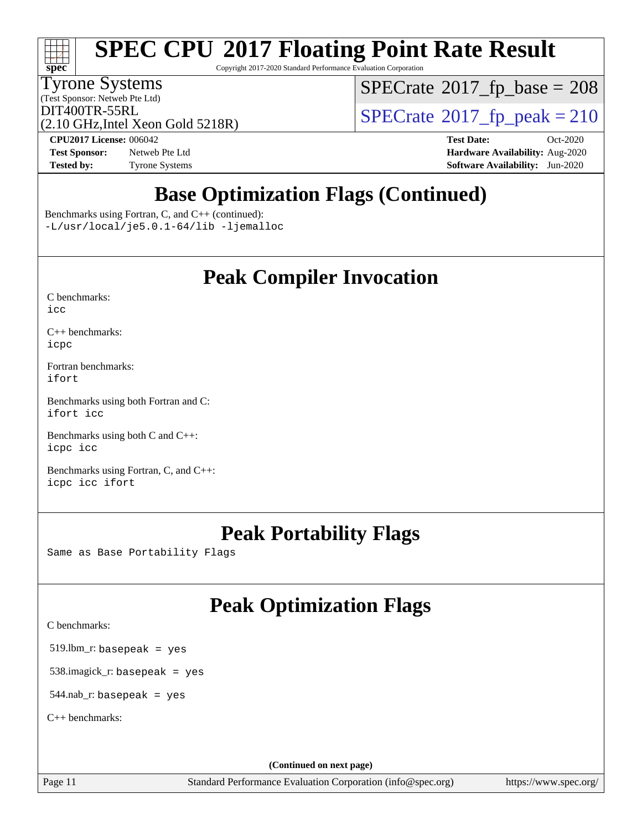# **[SPEC CPU](http://www.spec.org/auto/cpu2017/Docs/result-fields.html#SPECCPU2017FloatingPointRateResult)[2017 Floating Point Rate Result](http://www.spec.org/auto/cpu2017/Docs/result-fields.html#SPECCPU2017FloatingPointRateResult)**

Copyright 2017-2020 Standard Performance Evaluation Corporation

### Tyrone Systems

(Test Sponsor: Netweb Pte Ltd)

 $SPECTate$ <sup>®</sup>[2017\\_fp\\_base =](http://www.spec.org/auto/cpu2017/Docs/result-fields.html#SPECrate2017fpbase) 208

(2.10 GHz,Intel Xeon Gold 5218R)

 $\text{DIT400TR-55RL}$ <br>(2.10 GHz Intel Xeon Gold 5218R)  $\text{SPECrate}$  $\text{SPECrate}$  $\text{SPECrate}$ <sup>®</sup>[2017\\_fp\\_peak = 2](http://www.spec.org/auto/cpu2017/Docs/result-fields.html#SPECrate2017fppeak)10

**[Test Sponsor:](http://www.spec.org/auto/cpu2017/Docs/result-fields.html#TestSponsor)** Netweb Pte Ltd **[Hardware Availability:](http://www.spec.org/auto/cpu2017/Docs/result-fields.html#HardwareAvailability)** Aug-2020 **[Tested by:](http://www.spec.org/auto/cpu2017/Docs/result-fields.html#Testedby)** Tyrone Systems **[Software Availability:](http://www.spec.org/auto/cpu2017/Docs/result-fields.html#SoftwareAvailability)** Jun-2020

**[CPU2017 License:](http://www.spec.org/auto/cpu2017/Docs/result-fields.html#CPU2017License)** 006042 **[Test Date:](http://www.spec.org/auto/cpu2017/Docs/result-fields.html#TestDate)** Oct-2020

## **[Base Optimization Flags \(Continued\)](http://www.spec.org/auto/cpu2017/Docs/result-fields.html#BaseOptimizationFlags)**

[Benchmarks using Fortran, C, and C++](http://www.spec.org/auto/cpu2017/Docs/result-fields.html#BenchmarksusingFortranCandCXX) (continued):

[-L/usr/local/je5.0.1-64/lib](http://www.spec.org/cpu2017/results/res2020q4/cpu2017-20201012-24144.flags.html#user_CC_CXX_FCbase_jemalloc_link_path64_4b10a636b7bce113509b17f3bd0d6226c5fb2346b9178c2d0232c14f04ab830f976640479e5c33dc2bcbbdad86ecfb6634cbbd4418746f06f368b512fced5394) [-ljemalloc](http://www.spec.org/cpu2017/results/res2020q4/cpu2017-20201012-24144.flags.html#user_CC_CXX_FCbase_jemalloc_link_lib_d1249b907c500fa1c0672f44f562e3d0f79738ae9e3c4a9c376d49f265a04b9c99b167ecedbf6711b3085be911c67ff61f150a17b3472be731631ba4d0471706)

### **[Peak Compiler Invocation](http://www.spec.org/auto/cpu2017/Docs/result-fields.html#PeakCompilerInvocation)**

| C benchmarks: |  |
|---------------|--|
| icc           |  |

[C++ benchmarks:](http://www.spec.org/auto/cpu2017/Docs/result-fields.html#CXXbenchmarks) [icpc](http://www.spec.org/cpu2017/results/res2020q4/cpu2017-20201012-24144.flags.html#user_CXXpeak_intel_icpc_c510b6838c7f56d33e37e94d029a35b4a7bccf4766a728ee175e80a419847e808290a9b78be685c44ab727ea267ec2f070ec5dc83b407c0218cded6866a35d07)

[Fortran benchmarks](http://www.spec.org/auto/cpu2017/Docs/result-fields.html#Fortranbenchmarks): [ifort](http://www.spec.org/cpu2017/results/res2020q4/cpu2017-20201012-24144.flags.html#user_FCpeak_intel_ifort_8111460550e3ca792625aed983ce982f94888b8b503583aa7ba2b8303487b4d8a21a13e7191a45c5fd58ff318f48f9492884d4413fa793fd88dd292cad7027ca)

[Benchmarks using both Fortran and C](http://www.spec.org/auto/cpu2017/Docs/result-fields.html#BenchmarksusingbothFortranandC): [ifort](http://www.spec.org/cpu2017/results/res2020q4/cpu2017-20201012-24144.flags.html#user_CC_FCpeak_intel_ifort_8111460550e3ca792625aed983ce982f94888b8b503583aa7ba2b8303487b4d8a21a13e7191a45c5fd58ff318f48f9492884d4413fa793fd88dd292cad7027ca) [icc](http://www.spec.org/cpu2017/results/res2020q4/cpu2017-20201012-24144.flags.html#user_CC_FCpeak_intel_icc_66fc1ee009f7361af1fbd72ca7dcefbb700085f36577c54f309893dd4ec40d12360134090235512931783d35fd58c0460139e722d5067c5574d8eaf2b3e37e92)

[Benchmarks using both C and C++](http://www.spec.org/auto/cpu2017/Docs/result-fields.html#BenchmarksusingbothCandCXX): [icpc](http://www.spec.org/cpu2017/results/res2020q4/cpu2017-20201012-24144.flags.html#user_CC_CXXpeak_intel_icpc_c510b6838c7f56d33e37e94d029a35b4a7bccf4766a728ee175e80a419847e808290a9b78be685c44ab727ea267ec2f070ec5dc83b407c0218cded6866a35d07) [icc](http://www.spec.org/cpu2017/results/res2020q4/cpu2017-20201012-24144.flags.html#user_CC_CXXpeak_intel_icc_66fc1ee009f7361af1fbd72ca7dcefbb700085f36577c54f309893dd4ec40d12360134090235512931783d35fd58c0460139e722d5067c5574d8eaf2b3e37e92)

[Benchmarks using Fortran, C, and C++:](http://www.spec.org/auto/cpu2017/Docs/result-fields.html#BenchmarksusingFortranCandCXX) [icpc](http://www.spec.org/cpu2017/results/res2020q4/cpu2017-20201012-24144.flags.html#user_CC_CXX_FCpeak_intel_icpc_c510b6838c7f56d33e37e94d029a35b4a7bccf4766a728ee175e80a419847e808290a9b78be685c44ab727ea267ec2f070ec5dc83b407c0218cded6866a35d07) [icc](http://www.spec.org/cpu2017/results/res2020q4/cpu2017-20201012-24144.flags.html#user_CC_CXX_FCpeak_intel_icc_66fc1ee009f7361af1fbd72ca7dcefbb700085f36577c54f309893dd4ec40d12360134090235512931783d35fd58c0460139e722d5067c5574d8eaf2b3e37e92) [ifort](http://www.spec.org/cpu2017/results/res2020q4/cpu2017-20201012-24144.flags.html#user_CC_CXX_FCpeak_intel_ifort_8111460550e3ca792625aed983ce982f94888b8b503583aa7ba2b8303487b4d8a21a13e7191a45c5fd58ff318f48f9492884d4413fa793fd88dd292cad7027ca)

### **[Peak Portability Flags](http://www.spec.org/auto/cpu2017/Docs/result-fields.html#PeakPortabilityFlags)**

Same as Base Portability Flags

## **[Peak Optimization Flags](http://www.spec.org/auto/cpu2017/Docs/result-fields.html#PeakOptimizationFlags)**

[C benchmarks](http://www.spec.org/auto/cpu2017/Docs/result-fields.html#Cbenchmarks):

519.lbm\_r: basepeak = yes

538.imagick\_r: basepeak = yes

544.nab\_r: basepeak = yes

[C++ benchmarks:](http://www.spec.org/auto/cpu2017/Docs/result-fields.html#CXXbenchmarks)

**(Continued on next page)**

Page 11 Standard Performance Evaluation Corporation [\(info@spec.org\)](mailto:info@spec.org) <https://www.spec.org/>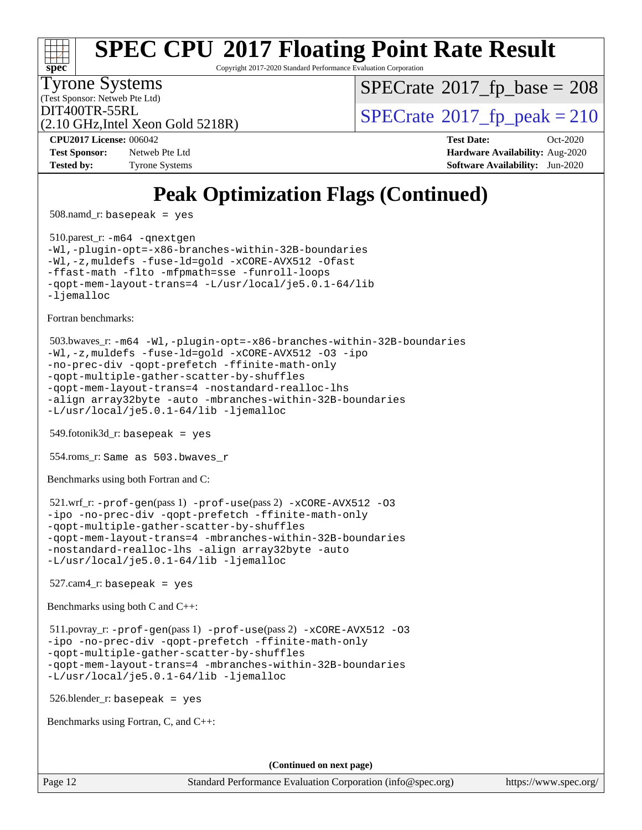

Copyright 2017-2020 Standard Performance Evaluation Corporation

(Test Sponsor: Netweb Pte Ltd) Tyrone Systems

 $SPECTate$ <sup>®</sup>[2017\\_fp\\_base =](http://www.spec.org/auto/cpu2017/Docs/result-fields.html#SPECrate2017fpbase) 208

(2.10 GHz,Intel Xeon Gold 5218R)

 $DIT400TR-55RL$ <br>(2.10 GHz Intel Xeon Gold 5218R) [SPECrate](http://www.spec.org/auto/cpu2017/Docs/result-fields.html#SPECrate2017fppeak)®[2017\\_fp\\_peak = 2](http://www.spec.org/auto/cpu2017/Docs/result-fields.html#SPECrate2017fppeak)10

**[Test Sponsor:](http://www.spec.org/auto/cpu2017/Docs/result-fields.html#TestSponsor)** Netweb Pte Ltd **[Hardware Availability:](http://www.spec.org/auto/cpu2017/Docs/result-fields.html#HardwareAvailability)** Aug-2020 **[Tested by:](http://www.spec.org/auto/cpu2017/Docs/result-fields.html#Testedby)** Tyrone Systems **[Software Availability:](http://www.spec.org/auto/cpu2017/Docs/result-fields.html#SoftwareAvailability)** Jun-2020

**[CPU2017 License:](http://www.spec.org/auto/cpu2017/Docs/result-fields.html#CPU2017License)** 006042 **[Test Date:](http://www.spec.org/auto/cpu2017/Docs/result-fields.html#TestDate)** Oct-2020

## **[Peak Optimization Flags \(Continued\)](http://www.spec.org/auto/cpu2017/Docs/result-fields.html#PeakOptimizationFlags)**

508.namd\_r: basepeak = yes

 510.parest\_r: [-m64](http://www.spec.org/cpu2017/results/res2020q4/cpu2017-20201012-24144.flags.html#user_peakCXXLD510_parest_r_m64-icc) [-qnextgen](http://www.spec.org/cpu2017/results/res2020q4/cpu2017-20201012-24144.flags.html#user_peakCXXLD510_parest_r_f-qnextgen) [-Wl,-plugin-opt=-x86-branches-within-32B-boundaries](http://www.spec.org/cpu2017/results/res2020q4/cpu2017-20201012-24144.flags.html#user_peakLDFLAGS510_parest_r_f-x86-branches-within-32B-boundaries_0098b4e4317ae60947b7b728078a624952a08ac37a3c797dfb4ffeb399e0c61a9dd0f2f44ce917e9361fb9076ccb15e7824594512dd315205382d84209e912f3) [-Wl,-z,muldefs](http://www.spec.org/cpu2017/results/res2020q4/cpu2017-20201012-24144.flags.html#user_peakEXTRA_LDFLAGS510_parest_r_link_force_multiple1_b4cbdb97b34bdee9ceefcfe54f4c8ea74255f0b02a4b23e853cdb0e18eb4525ac79b5a88067c842dd0ee6996c24547a27a4b99331201badda8798ef8a743f577) [-fuse-ld=gold](http://www.spec.org/cpu2017/results/res2020q4/cpu2017-20201012-24144.flags.html#user_peakEXTRA_LDFLAGS510_parest_r_f-fuse-ld_920b3586e2b8c6e0748b9c84fa9b744736ba725a32cab14ad8f3d4ad28eecb2f59d1144823d2e17006539a88734fe1fc08fc3035f7676166309105a78aaabc32) [-xCORE-AVX512](http://www.spec.org/cpu2017/results/res2020q4/cpu2017-20201012-24144.flags.html#user_peakCXXOPTIMIZE510_parest_r_f-xCORE-AVX512) [-Ofast](http://www.spec.org/cpu2017/results/res2020q4/cpu2017-20201012-24144.flags.html#user_peakCXXOPTIMIZE510_parest_r_f-Ofast) [-ffast-math](http://www.spec.org/cpu2017/results/res2020q4/cpu2017-20201012-24144.flags.html#user_peakCXXOPTIMIZE510_parest_r_f-ffast-math) [-flto](http://www.spec.org/cpu2017/results/res2020q4/cpu2017-20201012-24144.flags.html#user_peakCXXOPTIMIZE510_parest_r_f-flto) [-mfpmath=sse](http://www.spec.org/cpu2017/results/res2020q4/cpu2017-20201012-24144.flags.html#user_peakCXXOPTIMIZE510_parest_r_f-mfpmath_70eb8fac26bde974f8ab713bc9086c5621c0b8d2f6c86f38af0bd7062540daf19db5f3a066d8c6684be05d84c9b6322eb3b5be6619d967835195b93d6c02afa1) [-funroll-loops](http://www.spec.org/cpu2017/results/res2020q4/cpu2017-20201012-24144.flags.html#user_peakCXXOPTIMIZE510_parest_r_f-funroll-loops) [-qopt-mem-layout-trans=4](http://www.spec.org/cpu2017/results/res2020q4/cpu2017-20201012-24144.flags.html#user_peakCXXOPTIMIZE510_parest_r_f-qopt-mem-layout-trans_fa39e755916c150a61361b7846f310bcdf6f04e385ef281cadf3647acec3f0ae266d1a1d22d972a7087a248fd4e6ca390a3634700869573d231a252c784941a8) [-L/usr/local/je5.0.1-64/lib](http://www.spec.org/cpu2017/results/res2020q4/cpu2017-20201012-24144.flags.html#user_peakEXTRA_LIBS510_parest_r_jemalloc_link_path64_4b10a636b7bce113509b17f3bd0d6226c5fb2346b9178c2d0232c14f04ab830f976640479e5c33dc2bcbbdad86ecfb6634cbbd4418746f06f368b512fced5394) [-ljemalloc](http://www.spec.org/cpu2017/results/res2020q4/cpu2017-20201012-24144.flags.html#user_peakEXTRA_LIBS510_parest_r_jemalloc_link_lib_d1249b907c500fa1c0672f44f562e3d0f79738ae9e3c4a9c376d49f265a04b9c99b167ecedbf6711b3085be911c67ff61f150a17b3472be731631ba4d0471706)

[Fortran benchmarks](http://www.spec.org/auto/cpu2017/Docs/result-fields.html#Fortranbenchmarks):

```
 503.bwaves_r: -m64 -Wl,-plugin-opt=-x86-branches-within-32B-boundaries
-Wl,-z,muldefs -fuse-ld=gold -xCORE-AVX512 -O3 -ipo
-no-prec-div -qopt-prefetch -ffinite-math-only
-qopt-multiple-gather-scatter-by-shuffles
-qopt-mem-layout-trans=4 -nostandard-realloc-lhs
-align array32byte -auto -mbranches-within-32B-boundaries
-L/usr/local/je5.0.1-64/lib -ljemalloc
```
549.fotonik3d\_r: basepeak = yes

554.roms\_r: Same as 503.bwaves\_r

[Benchmarks using both Fortran and C](http://www.spec.org/auto/cpu2017/Docs/result-fields.html#BenchmarksusingbothFortranandC):

```
 521.wrf_r: -prof-gen(pass 1) -prof-use(pass 2) -xCORE-AVX512 -O3
-ipo -no-prec-div -qopt-prefetch -ffinite-math-only
-qopt-multiple-gather-scatter-by-shuffles
-qopt-mem-layout-trans=4 -mbranches-within-32B-boundaries
-nostandard-realloc-lhs -align array32byte -auto
-L/usr/local/je5.0.1-64/lib -ljemalloc
```
 $527$ .cam $4$ \_r: basepeak = yes

[Benchmarks using both C and C++](http://www.spec.org/auto/cpu2017/Docs/result-fields.html#BenchmarksusingbothCandCXX):

```
 511.povray_r: -prof-gen(pass 1) -prof-use(pass 2) -xCORE-AVX512 -O3
-ipo -no-prec-div -qopt-prefetch -ffinite-math-only
-qopt-multiple-gather-scatter-by-shuffles
-qopt-mem-layout-trans=4 -mbranches-within-32B-boundaries
-L/usr/local/je5.0.1-64/lib -ljemalloc
```
526.blender\_r: basepeak = yes

[Benchmarks using Fortran, C, and C++:](http://www.spec.org/auto/cpu2017/Docs/result-fields.html#BenchmarksusingFortranCandCXX)

**(Continued on next page)**